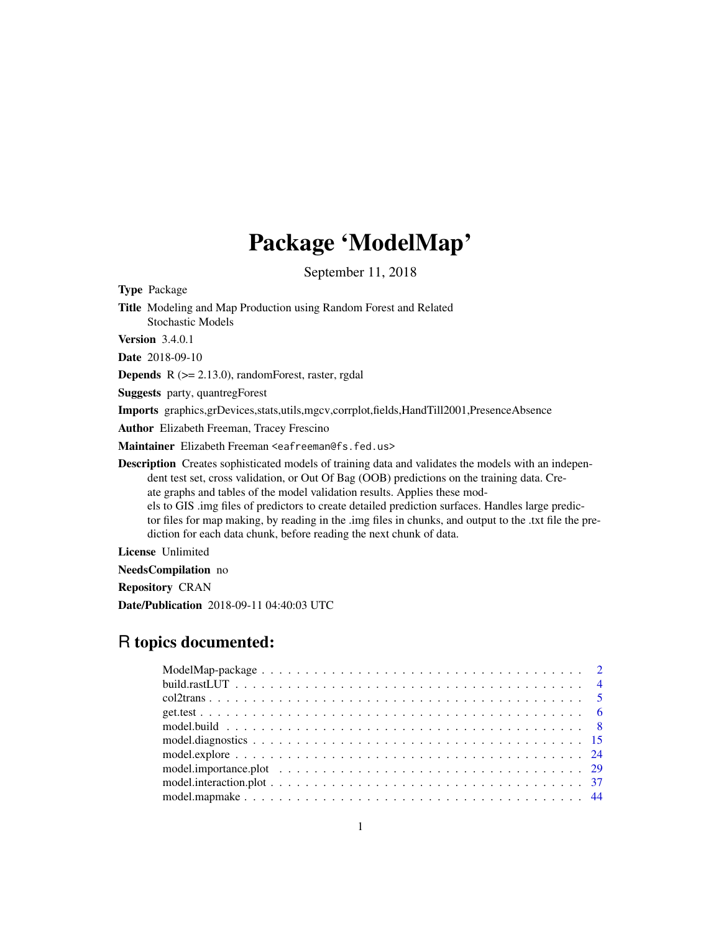# Package 'ModelMap'

September 11, 2018

<span id="page-0-0"></span>Type Package

Title Modeling and Map Production using Random Forest and Related Stochastic Models Version 3.4.0.1

Date 2018-09-10

**Depends**  $R$  ( $>= 2.13.0$ ), randomForest, raster, rgdal

Suggests party, quantregForest

Imports graphics,grDevices,stats,utils,mgcv,corrplot,fields,HandTill2001,PresenceAbsence

Author Elizabeth Freeman, Tracey Frescino

Maintainer Elizabeth Freeman <eafreeman@fs.fed.us>

Description Creates sophisticated models of training data and validates the models with an independent test set, cross validation, or Out Of Bag (OOB) predictions on the training data. Create graphs and tables of the model validation results. Applies these models to GIS .img files of predictors to create detailed prediction surfaces. Handles large predictor files for map making, by reading in the .img files in chunks, and output to the .txt file the prediction for each data chunk, before reading the next chunk of data.

License Unlimited

NeedsCompilation no

Repository CRAN

Date/Publication 2018-09-11 04:40:03 UTC

# R topics documented: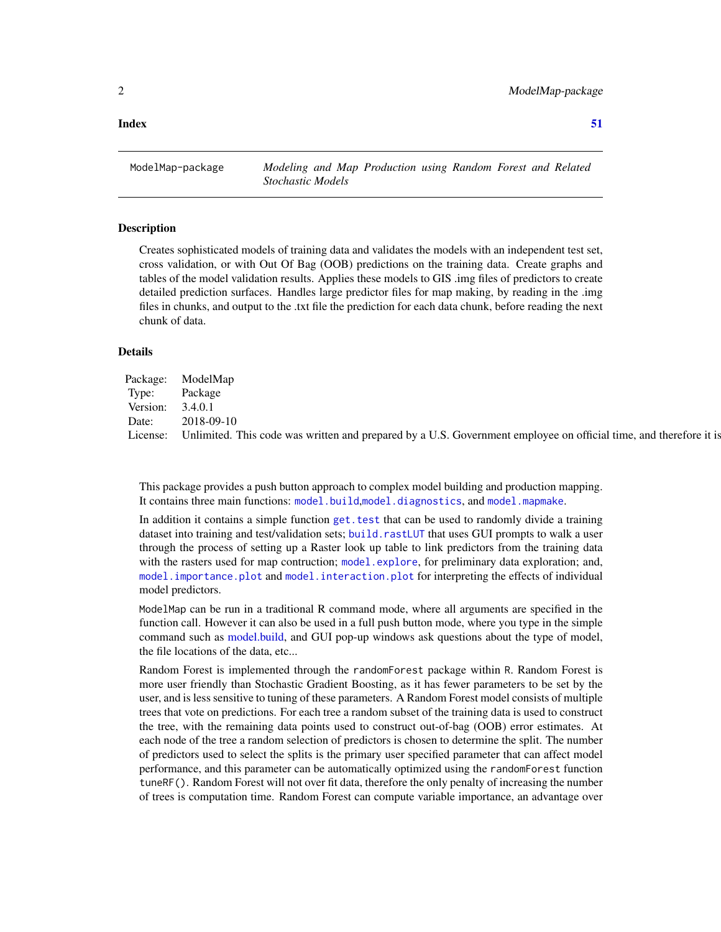<span id="page-1-0"></span>2 a material contract to the contract of the ModelMap-package of the ModelMap-package

ModelMap-package *Modeling and Map Production using Random Forest and Related Stochastic Models*

#### Description

Creates sophisticated models of training data and validates the models with an independent test set, cross validation, or with Out Of Bag (OOB) predictions on the training data. Create graphs and tables of the model validation results. Applies these models to GIS .img files of predictors to create detailed prediction surfaces. Handles large predictor files for map making, by reading in the .img files in chunks, and output to the .txt file the prediction for each data chunk, before reading the next chunk of data.

#### Details

| Package: ModelMap                                                                                                 |
|-------------------------------------------------------------------------------------------------------------------|
| Package                                                                                                           |
| 3.4.0.1                                                                                                           |
| 2018-09-10                                                                                                        |
| Unlimited. This code was written and prepared by a U.S. Government employee on official time, and therefore it is |
|                                                                                                                   |

This package provides a push button approach to complex model building and production mapping. It contains three main functions: [model.build](#page-7-1),[model.diagnostics](#page-14-1), and [model.mapmake](#page-43-1).

In addition it contains a simple function [get.test](#page-5-1) that can be used to randomly divide a training dataset into training and test/validation sets; [build.rastLUT](#page-3-1) that uses GUI prompts to walk a user through the process of setting up a Raster look up table to link predictors from the training data with the rasters used for map contruction; [model.explore](#page-23-1), for preliminary data exploration; and, [model.importance.plot](#page-28-1) and [model.interaction.plot](#page-36-1) for interpreting the effects of individual model predictors.

ModelMap can be run in a traditional R command mode, where all arguments are specified in the function call. However it can also be used in a full push button mode, where you type in the simple command such as [model.build,](#page-7-1) and GUI pop-up windows ask questions about the type of model, the file locations of the data, etc...

Random Forest is implemented through the randomForest package within R. Random Forest is more user friendly than Stochastic Gradient Boosting, as it has fewer parameters to be set by the user, and is less sensitive to tuning of these parameters. A Random Forest model consists of multiple trees that vote on predictions. For each tree a random subset of the training data is used to construct the tree, with the remaining data points used to construct out-of-bag (OOB) error estimates. At each node of the tree a random selection of predictors is chosen to determine the split. The number of predictors used to select the splits is the primary user specified parameter that can affect model performance, and this parameter can be automatically optimized using the randomForest function tuneRF(). Random Forest will not over fit data, therefore the only penalty of increasing the number of trees is computation time. Random Forest can compute variable importance, an advantage over

# **Index** [51](#page-50-0)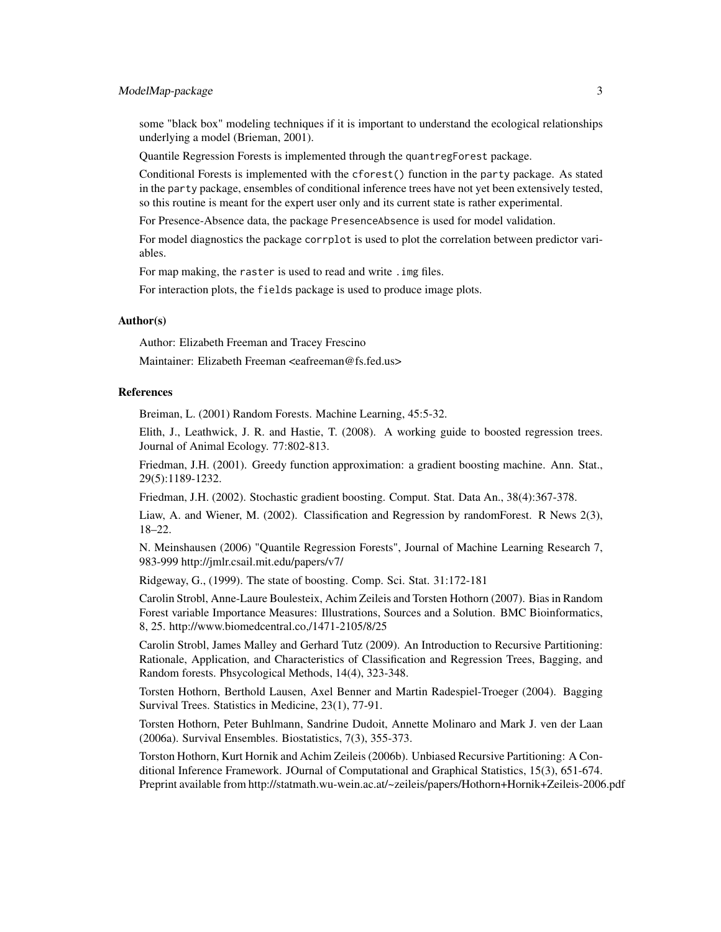# ModelMap-package 3

some "black box" modeling techniques if it is important to understand the ecological relationships underlying a model (Brieman, 2001).

Quantile Regression Forests is implemented through the quantregForest package.

Conditional Forests is implemented with the cforest() function in the party package. As stated in the party package, ensembles of conditional inference trees have not yet been extensively tested, so this routine is meant for the expert user only and its current state is rather experimental.

For Presence-Absence data, the package PresenceAbsence is used for model validation.

For model diagnostics the package corrplot is used to plot the correlation between predictor variables.

For map making, the raster is used to read and write . img files.

For interaction plots, the fields package is used to produce image plots.

#### Author(s)

Author: Elizabeth Freeman and Tracey Frescino

Maintainer: Elizabeth Freeman <eafreeman@fs.fed.us>

#### **References**

Breiman, L. (2001) Random Forests. Machine Learning, 45:5-32.

Elith, J., Leathwick, J. R. and Hastie, T. (2008). A working guide to boosted regression trees. Journal of Animal Ecology. 77:802-813.

Friedman, J.H. (2001). Greedy function approximation: a gradient boosting machine. Ann. Stat., 29(5):1189-1232.

Friedman, J.H. (2002). Stochastic gradient boosting. Comput. Stat. Data An., 38(4):367-378.

Liaw, A. and Wiener, M. (2002). Classification and Regression by randomForest. R News 2(3), 18–22.

N. Meinshausen (2006) "Quantile Regression Forests", Journal of Machine Learning Research 7, 983-999 http://jmlr.csail.mit.edu/papers/v7/

Ridgeway, G., (1999). The state of boosting. Comp. Sci. Stat. 31:172-181

Carolin Strobl, Anne-Laure Boulesteix, Achim Zeileis and Torsten Hothorn (2007). Bias in Random Forest variable Importance Measures: Illustrations, Sources and a Solution. BMC Bioinformatics, 8, 25. http://www.biomedcentral.co,/1471-2105/8/25

Carolin Strobl, James Malley and Gerhard Tutz (2009). An Introduction to Recursive Partitioning: Rationale, Application, and Characteristics of Classification and Regression Trees, Bagging, and Random forests. Phsycological Methods, 14(4), 323-348.

Torsten Hothorn, Berthold Lausen, Axel Benner and Martin Radespiel-Troeger (2004). Bagging Survival Trees. Statistics in Medicine, 23(1), 77-91.

Torsten Hothorn, Peter Buhlmann, Sandrine Dudoit, Annette Molinaro and Mark J. ven der Laan (2006a). Survival Ensembles. Biostatistics, 7(3), 355-373.

Torston Hothorn, Kurt Hornik and Achim Zeileis (2006b). Unbiased Recursive Partitioning: A Conditional Inference Framework. JOurnal of Computational and Graphical Statistics, 15(3), 651-674. Preprint available from http://statmath.wu-wein.ac.at/~zeileis/papers/Hothorn+Hornik+Zeileis-2006.pdf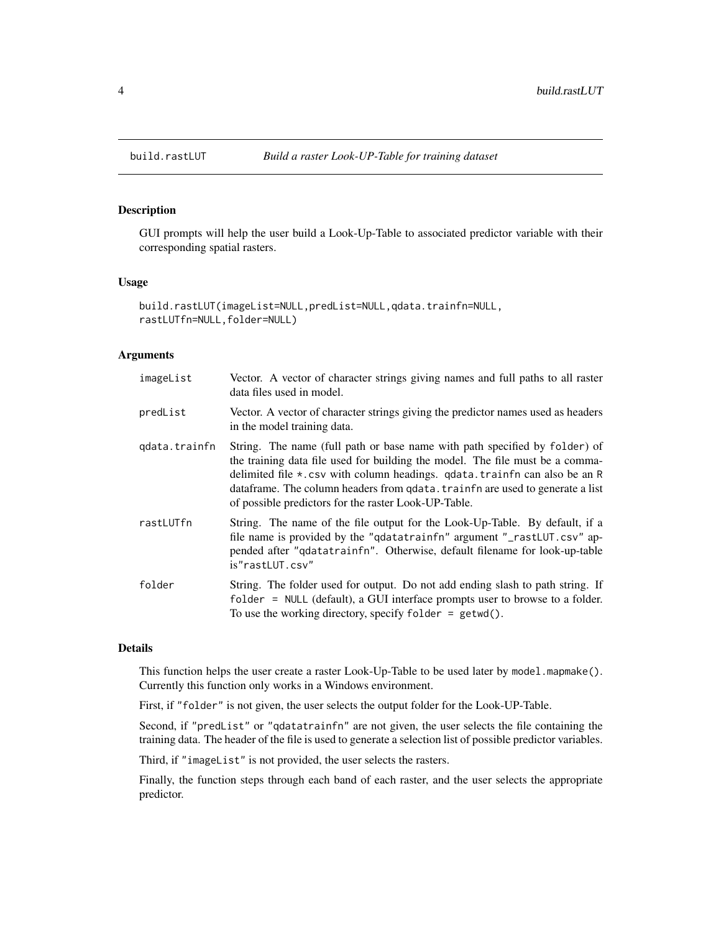# Description

GUI prompts will help the user build a Look-Up-Table to associated predictor variable with their corresponding spatial rasters.

#### Usage

```
build.rastLUT(imageList=NULL,predList=NULL,qdata.trainfn=NULL,
rastLUTfn=NULL,folder=NULL)
```
#### Arguments

| imageList     | Vector. A vector of character strings giving names and full paths to all raster<br>data files used in model.                                                                                                                                                                                                                                                                      |
|---------------|-----------------------------------------------------------------------------------------------------------------------------------------------------------------------------------------------------------------------------------------------------------------------------------------------------------------------------------------------------------------------------------|
| predList      | Vector. A vector of character strings giving the predictor names used as headers<br>in the model training data.                                                                                                                                                                                                                                                                   |
| qdata.trainfn | String. The name (full path or base name with path specified by folder) of<br>the training data file used for building the model. The file must be a comma-<br>delimited file *.csv with column headings. qdata.trainfn can also be an R<br>dataframe. The column headers from qdata. trainfn are used to generate a list<br>of possible predictors for the raster Look-UP-Table. |
| rastLUTfn     | String. The name of the file output for the Look-Up-Table. By default, if a<br>file name is provided by the "qdatatrainfn" argument "_rastLUT.csv" ap-<br>pended after "qdatatrainfn". Otherwise, default filename for look-up-table<br>is"rastLUT.csv"                                                                                                                           |
| folder        | String. The folder used for output. Do not add ending slash to path string. If<br>folder = NULL (default), a GUI interface prompts user to browse to a folder.<br>To use the working directory, specify folder = $getwd()$ .                                                                                                                                                      |

# Details

This function helps the user create a raster Look-Up-Table to be used later by model.mapmake(). Currently this function only works in a Windows environment.

First, if "folder" is not given, the user selects the output folder for the Look-UP-Table.

Second, if "predList" or "qdatatrainfn" are not given, the user selects the file containing the training data. The header of the file is used to generate a selection list of possible predictor variables.

Third, if "imageList" is not provided, the user selects the rasters.

Finally, the function steps through each band of each raster, and the user selects the appropriate predictor.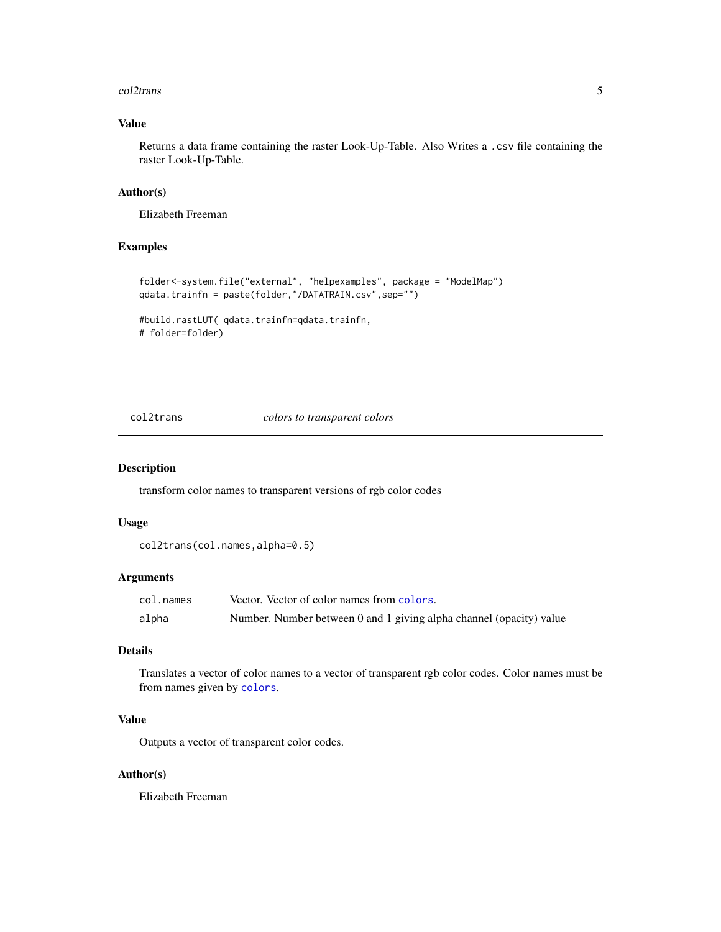#### <span id="page-4-0"></span>col2trans 5

# Value

Returns a data frame containing the raster Look-Up-Table. Also Writes a .csv file containing the raster Look-Up-Table.

#### Author(s)

Elizabeth Freeman

# Examples

```
folder<-system.file("external", "helpexamples", package = "ModelMap")
qdata.trainfn = paste(folder,"/DATATRAIN.csv",sep="")
```

```
#build.rastLUT( qdata.trainfn=qdata.trainfn,
# folder=folder)
```
col2trans *colors to transparent colors*

#### Description

transform color names to transparent versions of rgb color codes

#### Usage

col2trans(col.names,alpha=0.5)

#### Arguments

| col.names | Vector. Vector of color names from colors.                          |
|-----------|---------------------------------------------------------------------|
| alpha     | Number. Number between 0 and 1 giving alpha channel (opacity) value |

# Details

Translates a vector of color names to a vector of transparent rgb color codes. Color names must be from names given by [colors](#page-0-0).

# Value

Outputs a vector of transparent color codes.

# Author(s)

Elizabeth Freeman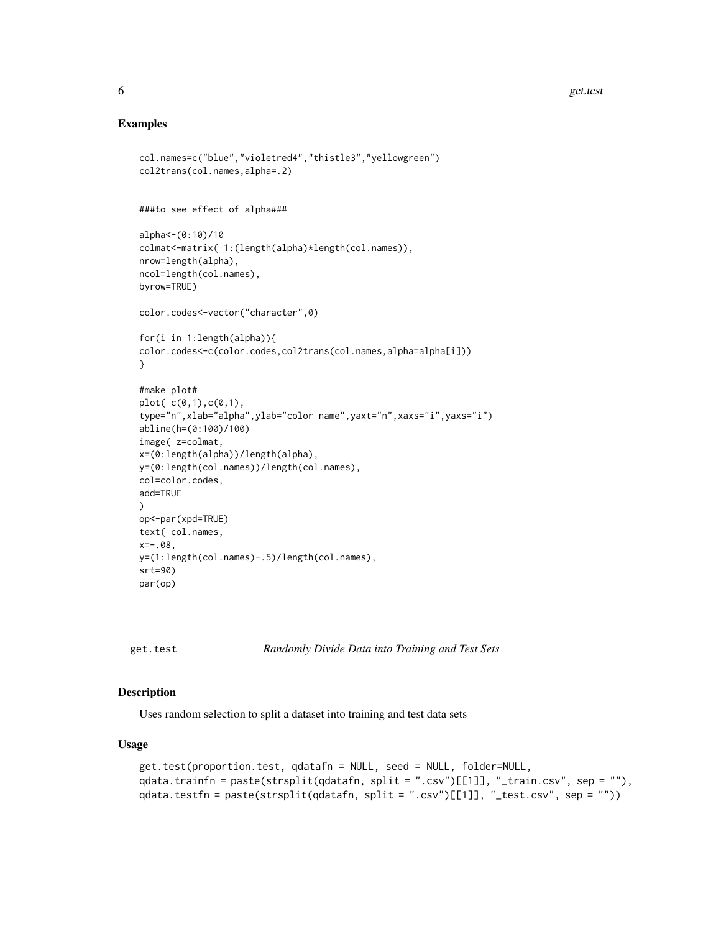#### Examples

```
col.names=c("blue","violetred4","thistle3","yellowgreen")
col2trans(col.names,alpha=.2)
###to see effect of alpha###
alpha<-(0:10)/10
colmat<-matrix( 1:(length(alpha)*length(col.names)),
nrow=length(alpha),
ncol=length(col.names),
byrow=TRUE)
color.codes<-vector("character",0)
for(i in 1:length(alpha)){
color.codes<-c(color.codes,col2trans(col.names,alpha=alpha[i]))
}
#make plot#
plot( c(0,1),c(0,1),
type="n",xlab="alpha",ylab="color name",yaxt="n",xaxs="i",yaxs="i")
abline(h=(0:100)/100)
image( z=colmat,
x=(0:length(alpha))/length(alpha),
y=(0:length(col.names))/length(col.names),
col=color.codes,
add=TRUE
)
op<-par(xpd=TRUE)
text( col.names,
x=-.08,
y=(1:length(col.names)-.5)/length(col.names),
srt=90)
par(op)
```
<span id="page-5-1"></span>get.test *Randomly Divide Data into Training and Test Sets*

#### Description

Uses random selection to split a dataset into training and test data sets

#### Usage

```
get.test(proportion.test, qdatafn = NULL, seed = NULL, folder=NULL,
qdata.trainfn = paste(strsplit(qdatafn, split = ".csv")[[1]], "_train.csv", sep = ""),
qdata.testfn = paste(strsplit(qdatafn, split = ".csv")[[1]], "_test.csv", sep = ""))
```
<span id="page-5-0"></span>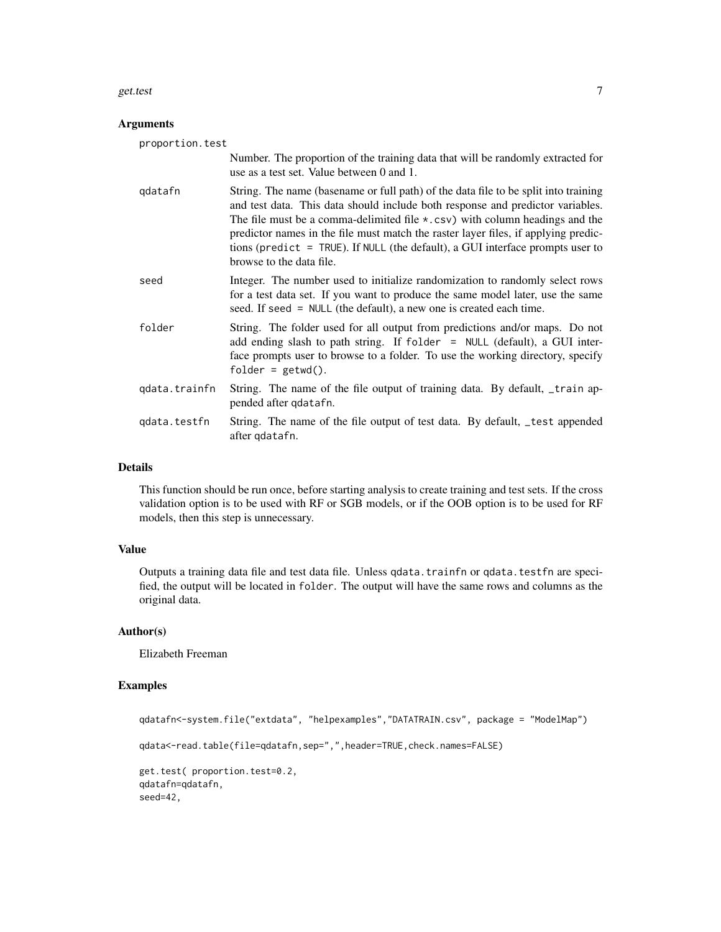#### get.test 7

# Arguments

| proportion.test |                                                                                                                                                                                                                                                                                                                                                                                                                                                                    |
|-----------------|--------------------------------------------------------------------------------------------------------------------------------------------------------------------------------------------------------------------------------------------------------------------------------------------------------------------------------------------------------------------------------------------------------------------------------------------------------------------|
|                 | Number. The proportion of the training data that will be randomly extracted for<br>use as a test set. Value between 0 and 1.                                                                                                                                                                                                                                                                                                                                       |
| qdatafn         | String. The name (basename or full path) of the data file to be split into training<br>and test data. This data should include both response and predictor variables.<br>The file must be a comma-delimited file $\star$ .csv) with column headings and the<br>predictor names in the file must match the raster layer files, if applying predic-<br>tions (predict = $TRUE$ ). If NULL (the default), a GUI interface prompts user to<br>browse to the data file. |
| seed            | Integer. The number used to initialize randomization to randomly select rows<br>for a test data set. If you want to produce the same model later, use the same<br>seed. If seed = NULL (the default), a new one is created each time.                                                                                                                                                                                                                              |
| folder          | String. The folder used for all output from predictions and/or maps. Do not<br>add ending slash to path string. If folder = NULL (default), a GUI inter-<br>face prompts user to browse to a folder. To use the working directory, specify<br>$folder = getwd()$ .                                                                                                                                                                                                 |
| qdata.trainfn   | String. The name of the file output of training data. By default, _train ap-<br>pended after qdatafn.                                                                                                                                                                                                                                                                                                                                                              |
| qdata.testfn    | String. The name of the file output of test data. By default, test appended<br>after qdatafn.                                                                                                                                                                                                                                                                                                                                                                      |
|                 |                                                                                                                                                                                                                                                                                                                                                                                                                                                                    |

# Details

This function should be run once, before starting analysis to create training and test sets. If the cross validation option is to be used with RF or SGB models, or if the OOB option is to be used for RF models, then this step is unnecessary.

# Value

Outputs a training data file and test data file. Unless qdata.trainfn or qdata.testfn are specified, the output will be located in folder. The output will have the same rows and columns as the original data.

# Author(s)

Elizabeth Freeman

# Examples

```
qdatafn<-system.file("extdata", "helpexamples","DATATRAIN.csv", package = "ModelMap")
qdata<-read.table(file=qdatafn,sep=",",header=TRUE,check.names=FALSE)
get.test( proportion.test=0.2,
qdatafn=qdatafn,
seed=42,
```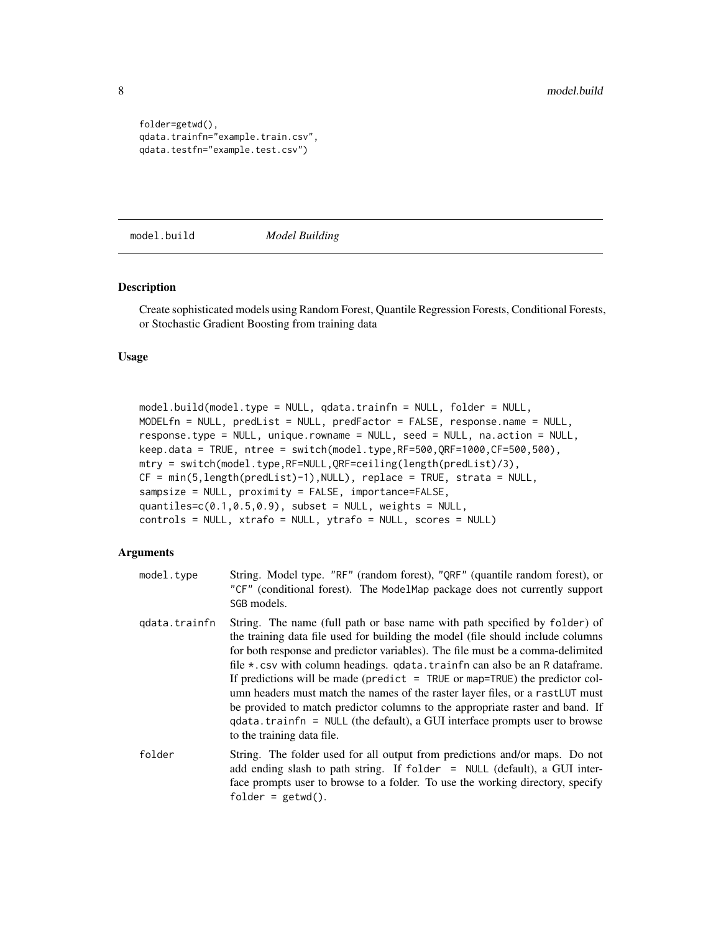```
folder=getwd(),
qdata.trainfn="example.train.csv",
qdata.testfn="example.test.csv")
```
<span id="page-7-1"></span>model.build *Model Building*

#### Description

Create sophisticated models using Random Forest, Quantile Regression Forests, Conditional Forests, or Stochastic Gradient Boosting from training data

#### Usage

```
model.build(model.type = NULL, qdata.trainfn = NULL, folder = NULL,
MODELfn = NULL, predList = NULL, predFactor = FALSE, response.name = NULL,
response.type = NULL, unique.rowname = NULL, seed = NULL, na.action = NULL,
keep.data = TRUE, ntree = switch(model.type,RF=500,QRF=1000,CF=500,500),
mtry = switch(model.type,RF=NULL,QRF=ceiling(length(predList)/3),
CF = min(5,length(predList)-1),NULL), replace = TRUE, strata = NULL,
sampsize = NULL, proximity = FALSE, importance=FALSE,
quantiles=c(0.1, 0.5, 0.9), subset = NULL, weights = NULL,
controls = NULL, xtrafo = NULL, ytrafo = NULL, scores = NULL)
```
#### Arguments

- model.type String. Model type. "RF" (random forest), "QRF" (quantile random forest), or "CF" (conditional forest). The ModelMap package does not currently support SGB models. qdata.trainfn String. The name (full path or base name with path specified by folder) of the training data file used for building the model (file should include columns for both response and predictor variables). The file must be a comma-delimited file  $\star$ .csv with column headings. qdata.trainfn can also be an R dataframe. If predictions will be made (predict  $=$  TRUE or map=TRUE) the predictor column headers must match the names of the raster layer files, or a rastLUT must be provided to match predictor columns to the appropriate raster and band. If qdata.trainfn = NULL (the default), a GUI interface prompts user to browse
- folder String. The folder used for all output from predictions and/or maps. Do not add ending slash to path string. If folder = NULL (default), a GUI interface prompts user to browse to a folder. To use the working directory, specify folder =  $getwd()$ .

to the training data file.

<span id="page-7-0"></span>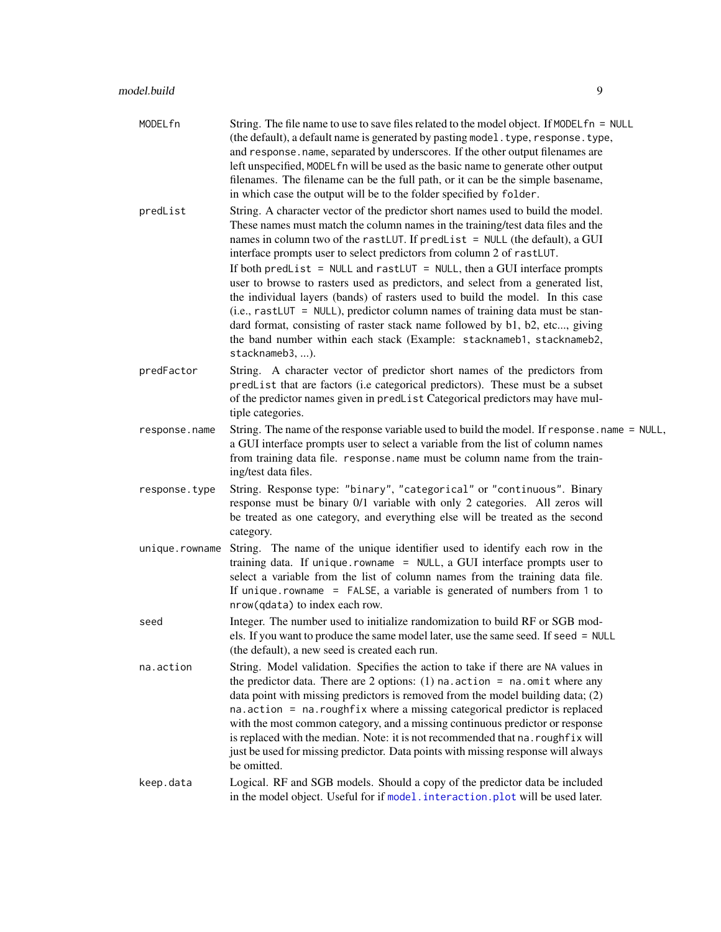<span id="page-8-0"></span>

| MODELfn        | String. The file name to use to save files related to the model object. If $MODELfn = NULL$<br>(the default), a default name is generated by pasting model. type, response. type,<br>and response.name, separated by underscores. If the other output filenames are<br>left unspecified, MODEL fn will be used as the basic name to generate other output<br>filenames. The filename can be the full path, or it can be the simple basename,<br>in which case the output will be to the folder specified by folder.                                                                                                                                                                                                                                                                                                                           |
|----------------|-----------------------------------------------------------------------------------------------------------------------------------------------------------------------------------------------------------------------------------------------------------------------------------------------------------------------------------------------------------------------------------------------------------------------------------------------------------------------------------------------------------------------------------------------------------------------------------------------------------------------------------------------------------------------------------------------------------------------------------------------------------------------------------------------------------------------------------------------|
| predList       | String. A character vector of the predictor short names used to build the model.<br>These names must match the column names in the training/test data files and the<br>names in column two of the rast LUT. If predlist = NULL (the default), a GUI<br>interface prompts user to select predictors from column 2 of rastLUT.<br>If both predList = NULL and rastLUT = NULL, then a GUI interface prompts<br>user to browse to rasters used as predictors, and select from a generated list,<br>the individual layers (bands) of rasters used to build the model. In this case<br>$(i.e., rastLUT = NULL)$ , predictor column names of training data must be stan-<br>dard format, consisting of raster stack name followed by b1, b2, etc, giving<br>the band number within each stack (Example: stacknameb1, stacknameb2,<br>stacknameb3, ). |
| predFactor     | String. A character vector of predictor short names of the predictors from<br>predList that are factors (i.e categorical predictors). These must be a subset<br>of the predictor names given in predList Categorical predictors may have mul-<br>tiple categories.                                                                                                                                                                                                                                                                                                                                                                                                                                                                                                                                                                            |
| response.name  | String. The name of the response variable used to build the model. If response . name = NULL,<br>a GUI interface prompts user to select a variable from the list of column names<br>from training data file. response.name must be column name from the train-<br>ing/test data files.                                                                                                                                                                                                                                                                                                                                                                                                                                                                                                                                                        |
| response.type  | String. Response type: "binary", "categorical" or "continuous". Binary<br>response must be binary 0/1 variable with only 2 categories. All zeros will<br>be treated as one category, and everything else will be treated as the second<br>category.                                                                                                                                                                                                                                                                                                                                                                                                                                                                                                                                                                                           |
| unique.rowname | String. The name of the unique identifier used to identify each row in the<br>training data. If unique.rowname = NULL, a GUI interface prompts user to<br>select a variable from the list of column names from the training data file.<br>If unique.rowname = $FALSE$ , a variable is generated of numbers from 1 to<br>nrow(qdata) to index each row.                                                                                                                                                                                                                                                                                                                                                                                                                                                                                        |
| seed           | Integer. The number used to initialize randomization to build RF or SGB mod-<br>els. If you want to produce the same model later, use the same seed. If seed = NULL<br>(the default), a new seed is created each run.                                                                                                                                                                                                                                                                                                                                                                                                                                                                                                                                                                                                                         |
| na.action      | String. Model validation. Specifies the action to take if there are NA values in<br>the predictor data. There are 2 options: (1) $na$ . $action = na$ . $omit$ where any<br>data point with missing predictors is removed from the model building data; (2)<br>na.action = na.roughfix where a missing categorical predictor is replaced<br>with the most common category, and a missing continuous predictor or response<br>is replaced with the median. Note: it is not recommended that na. roughf ix will<br>just be used for missing predictor. Data points with missing response will always<br>be omitted.                                                                                                                                                                                                                             |
| keep.data      | Logical. RF and SGB models. Should a copy of the predictor data be included<br>in the model object. Useful for if model.interaction.plot will be used later.                                                                                                                                                                                                                                                                                                                                                                                                                                                                                                                                                                                                                                                                                  |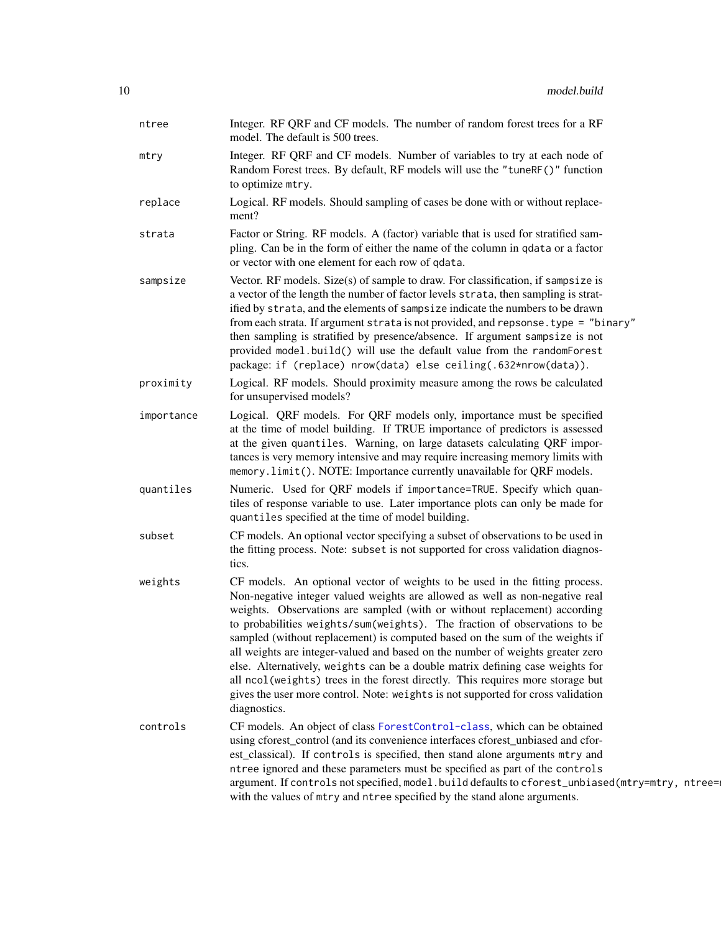| ntree      | Integer. RF QRF and CF models. The number of random forest trees for a RF<br>model. The default is 500 trees.                                                                                                                                                                                                                                                                                                                                                                                                                                                                                                                                                                                                                                                   |
|------------|-----------------------------------------------------------------------------------------------------------------------------------------------------------------------------------------------------------------------------------------------------------------------------------------------------------------------------------------------------------------------------------------------------------------------------------------------------------------------------------------------------------------------------------------------------------------------------------------------------------------------------------------------------------------------------------------------------------------------------------------------------------------|
| mtry       | Integer. RF QRF and CF models. Number of variables to try at each node of<br>Random Forest trees. By default, RF models will use the "tuneRF()" function<br>to optimize mtry.                                                                                                                                                                                                                                                                                                                                                                                                                                                                                                                                                                                   |
| replace    | Logical. RF models. Should sampling of cases be done with or without replace-<br>ment?                                                                                                                                                                                                                                                                                                                                                                                                                                                                                                                                                                                                                                                                          |
| strata     | Factor or String. RF models. A (factor) variable that is used for stratified sam-<br>pling. Can be in the form of either the name of the column in qdata or a factor<br>or vector with one element for each row of qdata.                                                                                                                                                                                                                                                                                                                                                                                                                                                                                                                                       |
| sampsize   | Vector. RF models. Size $(s)$ of sample to draw. For classification, if sampsize is<br>a vector of the length the number of factor levels strata, then sampling is strat-<br>ified by strata, and the elements of sampsize indicate the numbers to be drawn<br>from each strata. If argument strata is not provided, and repsonse. type = "binary"<br>then sampling is stratified by presence/absence. If argument sampsize is not<br>provided model.build() will use the default value from the randomForest<br>package: if (replace) nrow(data) else ceiling(.632*nrow(data)).                                                                                                                                                                                |
| proximity  | Logical. RF models. Should proximity measure among the rows be calculated<br>for unsupervised models?                                                                                                                                                                                                                                                                                                                                                                                                                                                                                                                                                                                                                                                           |
| importance | Logical. QRF models. For QRF models only, importance must be specified<br>at the time of model building. If TRUE importance of predictors is assessed<br>at the given quantiles. Warning, on large datasets calculating QRF impor-<br>tances is very memory intensive and may require increasing memory limits with<br>memory.limit(). NOTE: Importance currently unavailable for QRF models.                                                                                                                                                                                                                                                                                                                                                                   |
| quantiles  | Numeric. Used for QRF models if importance=TRUE. Specify which quan-<br>tiles of response variable to use. Later importance plots can only be made for<br>quantiles specified at the time of model building.                                                                                                                                                                                                                                                                                                                                                                                                                                                                                                                                                    |
| subset     | CF models. An optional vector specifying a subset of observations to be used in<br>the fitting process. Note: subset is not supported for cross validation diagnos-<br>tics.                                                                                                                                                                                                                                                                                                                                                                                                                                                                                                                                                                                    |
| weights    | CF models. An optional vector of weights to be used in the fitting process.<br>Non-negative integer valued weights are allowed as well as non-negative real<br>weights. Observations are sampled (with or without replacement) according<br>to probabilities weights/sum(weights). The fraction of observations to be<br>sampled (without replacement) is computed based on the sum of the weights if<br>all weights are integer-valued and based on the number of weights greater zero<br>else. Alternatively, weights can be a double matrix defining case weights for<br>all ncol (weights) trees in the forest directly. This requires more storage but<br>gives the user more control. Note: weights is not supported for cross validation<br>diagnostics. |
| controls   | CF models. An object of class ForestControl-class, which can be obtained<br>using cforest_control (and its convenience interfaces cforest_unbiased and cfor-<br>est_classical). If controls is specified, then stand alone arguments mtry and<br>ntree ignored and these parameters must be specified as part of the controls<br>argument. If controls not specified, model.build defaults to cforest_unbiased(mtry=mtry, ntree=<br>with the values of mtry and ntree specified by the stand alone arguments.                                                                                                                                                                                                                                                   |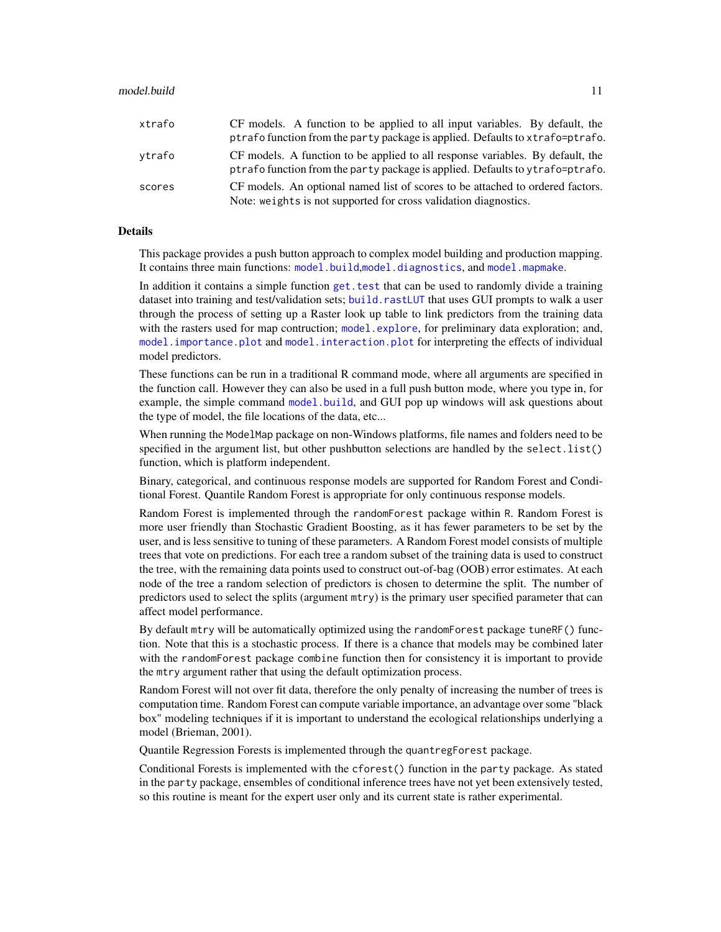<span id="page-10-0"></span>

| xtrafo | CF models. A function to be applied to all input variables. By default, the<br>ptrafo function from the party package is applied. Defaults to xtrafo=ptrafo.    |
|--------|-----------------------------------------------------------------------------------------------------------------------------------------------------------------|
| vtrafo | CF models. A function to be applied to all response variables. By default, the<br>ptrafo function from the party package is applied. Defaults to ytrafo=ptrafo. |
| scores | CF models. An optional named list of scores to be attached to ordered factors.<br>Note: weights is not supported for cross validation diagnostics.              |

# Details

This package provides a push button approach to complex model building and production mapping. It contains three main functions: [model.build](#page-7-1),[model.diagnostics](#page-14-1), and [model.mapmake](#page-43-1).

In addition it contains a simple function get. test that can be used to randomly divide a training dataset into training and test/validation sets; [build.rastLUT](#page-3-1) that uses GUI prompts to walk a user through the process of setting up a Raster look up table to link predictors from the training data with the rasters used for map contruction; [model.explore](#page-23-1), for preliminary data exploration; and, [model.importance.plot](#page-28-1) and [model.interaction.plot](#page-36-1) for interpreting the effects of individual model predictors.

These functions can be run in a traditional R command mode, where all arguments are specified in the function call. However they can also be used in a full push button mode, where you type in, for example, the simple command [model.build](#page-7-1), and GUI pop up windows will ask questions about the type of model, the file locations of the data, etc...

When running the ModelMap package on non-Windows platforms, file names and folders need to be specified in the argument list, but other pushbutton selections are handled by the select. list() function, which is platform independent.

Binary, categorical, and continuous response models are supported for Random Forest and Conditional Forest. Quantile Random Forest is appropriate for only continuous response models.

Random Forest is implemented through the randomForest package within R. Random Forest is more user friendly than Stochastic Gradient Boosting, as it has fewer parameters to be set by the user, and is less sensitive to tuning of these parameters. A Random Forest model consists of multiple trees that vote on predictions. For each tree a random subset of the training data is used to construct the tree, with the remaining data points used to construct out-of-bag (OOB) error estimates. At each node of the tree a random selection of predictors is chosen to determine the split. The number of predictors used to select the splits (argument mtry) is the primary user specified parameter that can affect model performance.

By default mtry will be automatically optimized using the randomForest package tuneRF() function. Note that this is a stochastic process. If there is a chance that models may be combined later with the randomForest package combine function then for consistency it is important to provide the mtry argument rather that using the default optimization process.

Random Forest will not over fit data, therefore the only penalty of increasing the number of trees is computation time. Random Forest can compute variable importance, an advantage over some "black box" modeling techniques if it is important to understand the ecological relationships underlying a model (Brieman, 2001).

Quantile Regression Forests is implemented through the quantregForest package.

Conditional Forests is implemented with the cforest() function in the party package. As stated in the party package, ensembles of conditional inference trees have not yet been extensively tested, so this routine is meant for the expert user only and its current state is rather experimental.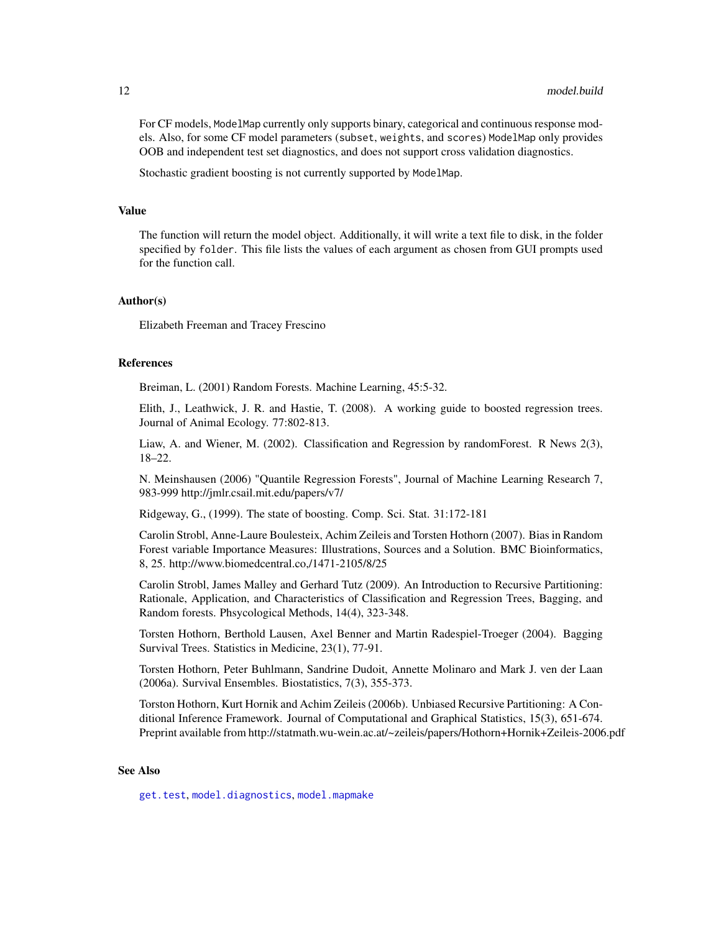<span id="page-11-0"></span>For CF models, ModelMap currently only supports binary, categorical and continuous response models. Also, for some CF model parameters (subset, weights, and scores) ModelMap only provides OOB and independent test set diagnostics, and does not support cross validation diagnostics.

Stochastic gradient boosting is not currently supported by ModelMap.

#### Value

The function will return the model object. Additionally, it will write a text file to disk, in the folder specified by folder. This file lists the values of each argument as chosen from GUI prompts used for the function call.

#### Author(s)

Elizabeth Freeman and Tracey Frescino

#### References

Breiman, L. (2001) Random Forests. Machine Learning, 45:5-32.

Elith, J., Leathwick, J. R. and Hastie, T. (2008). A working guide to boosted regression trees. Journal of Animal Ecology. 77:802-813.

Liaw, A. and Wiener, M. (2002). Classification and Regression by randomForest. R News 2(3), 18–22.

N. Meinshausen (2006) "Quantile Regression Forests", Journal of Machine Learning Research 7, 983-999 http://jmlr.csail.mit.edu/papers/v7/

Ridgeway, G., (1999). The state of boosting. Comp. Sci. Stat. 31:172-181

Carolin Strobl, Anne-Laure Boulesteix, Achim Zeileis and Torsten Hothorn (2007). Bias in Random Forest variable Importance Measures: Illustrations, Sources and a Solution. BMC Bioinformatics, 8, 25. http://www.biomedcentral.co,/1471-2105/8/25

Carolin Strobl, James Malley and Gerhard Tutz (2009). An Introduction to Recursive Partitioning: Rationale, Application, and Characteristics of Classification and Regression Trees, Bagging, and Random forests. Phsycological Methods, 14(4), 323-348.

Torsten Hothorn, Berthold Lausen, Axel Benner and Martin Radespiel-Troeger (2004). Bagging Survival Trees. Statistics in Medicine, 23(1), 77-91.

Torsten Hothorn, Peter Buhlmann, Sandrine Dudoit, Annette Molinaro and Mark J. ven der Laan (2006a). Survival Ensembles. Biostatistics, 7(3), 355-373.

Torston Hothorn, Kurt Hornik and Achim Zeileis (2006b). Unbiased Recursive Partitioning: A Conditional Inference Framework. Journal of Computational and Graphical Statistics, 15(3), 651-674. Preprint available from http://statmath.wu-wein.ac.at/~zeileis/papers/Hothorn+Hornik+Zeileis-2006.pdf

#### See Also

[get.test](#page-5-1), [model.diagnostics](#page-14-1), [model.mapmake](#page-43-1)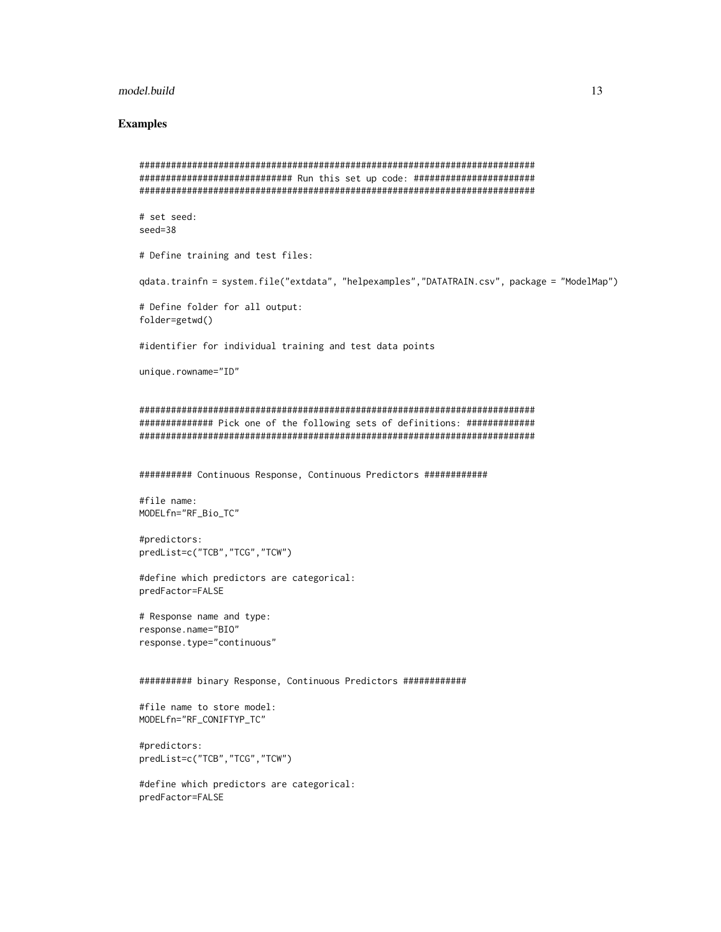#### model.build 13

# Examples

```
###########################################################################
############################# Run this set up code: #######################
###########################################################################
# set seed:
seed=38
# Define training and test files:
qdata.trainfn = system.file("extdata", "helpexamples","DATATRAIN.csv", package = "ModelMap")
# Define folder for all output:
folder=getwd()
#identifier for individual training and test data points
unique.rowname="ID"
###########################################################################
############## Pick one of the following sets of definitions: #############
###########################################################################
########## Continuous Response, Continuous Predictors ############
#file name:
MODELfn="RF_Bio_TC"
#predictors:
predList=c("TCB","TCG","TCW")
#define which predictors are categorical:
predFactor=FALSE
# Response name and type:
response.name="BIO"
response.type="continuous"
########## binary Response, Continuous Predictors ############
#file name to store model:
MODELfn="RF_CONIFTYP_TC"
#predictors:
predList=c("TCB","TCG","TCW")
#define which predictors are categorical:
predFactor=FALSE
```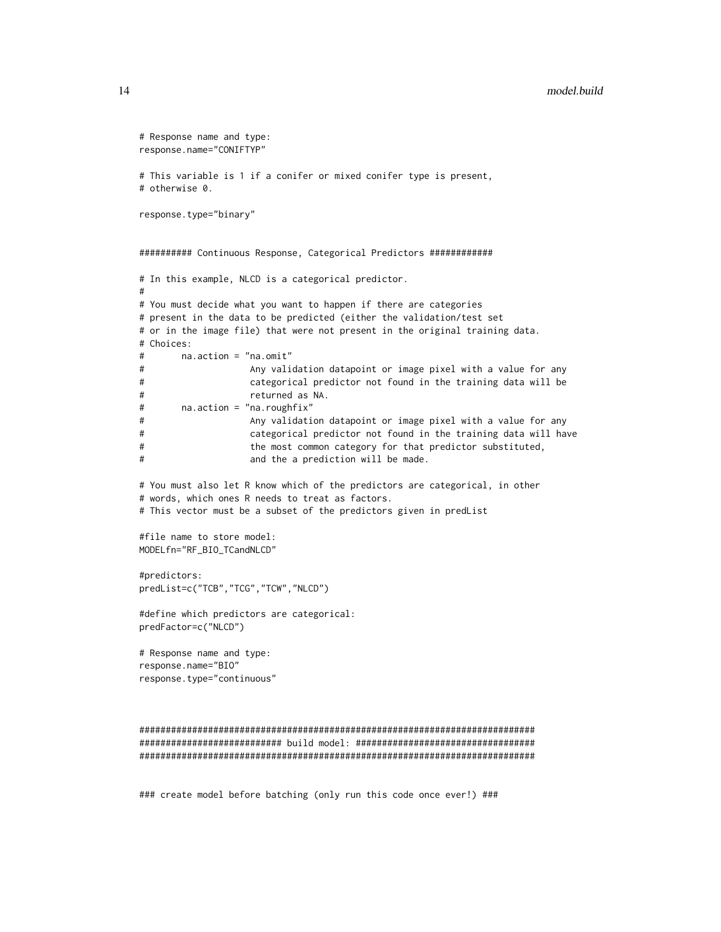#### 14 model.build

```
# Response name and type:
response.name="CONIFTYP"
# This variable is 1 if a conifer or mixed conifer type is present,
# otherwise 0.
response.type="binary"
########## Continuous Response, Categorical Predictors ############
# In this example, NLCD is a categorical predictor.
#
# You must decide what you want to happen if there are categories
# present in the data to be predicted (either the validation/test set
# or in the image file) that were not present in the original training data.
# Choices:
# na.action = "na.omit"
# Any validation datapoint or image pixel with a value for any
# categorical predictor not found in the training data will be
# returned as NA.
# na.action = "na.roughfix"
# Any validation datapoint or image pixel with a value for any
# categorical predictor not found in the training data will have
# the most common category for that predictor substituted,
# and the a prediction will be made.
# You must also let R know which of the predictors are categorical, in other
# words, which ones R needs to treat as factors.
# This vector must be a subset of the predictors given in predList
#file name to store model:
MODELfn="RF_BIO_TCandNLCD"
#predictors:
predList=c("TCB","TCG","TCW","NLCD")
#define which predictors are categorical:
predFactor=c("NLCD")
# Response name and type:
response.name="BIO"
response.type="continuous"
###########################################################################
########################### build model: ##################################
###########################################################################
```
### create model before batching (only run this code once ever!) ###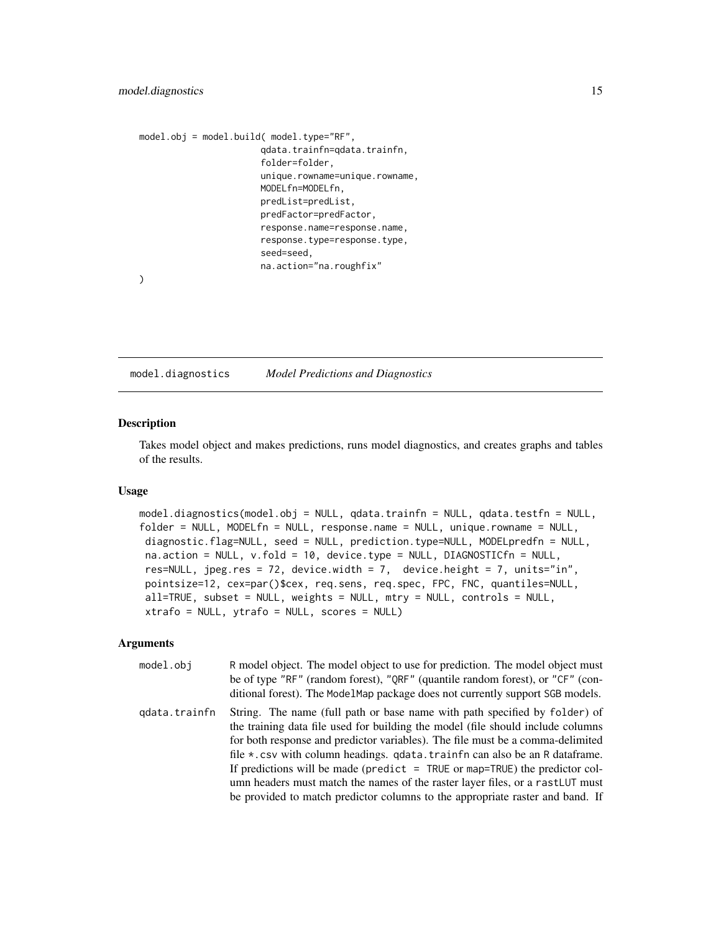```
model.obj = model.build( model.type="RF",
                       qdata.trainfn=qdata.trainfn,
                       folder=folder,
                       unique.rowname=unique.rowname,
                       MODELfn=MODELfn,
                       predList=predList,
                       predFactor=predFactor,
                       response.name=response.name,
                       response.type=response.type,
                       seed=seed,
                       na.action="na.roughfix"
```
)

<span id="page-14-1"></span>model.diagnostics *Model Predictions and Diagnostics*

#### Description

Takes model object and makes predictions, runs model diagnostics, and creates graphs and tables of the results.

#### Usage

```
model.diagnostics(model.obj = NULL, qdata.trainfn = NULL, qdata.testfn = NULL,
folder = NULL, MODELfn = NULL, response.name = NULL, unique.rowname = NULL,
diagnostic.flag=NULL, seed = NULL, prediction.type=NULL, MODELpredfn = NULL,
na.action = NULL, v.fold = 10, device.type = NULL, DIAGNOSTICfn = NULL,
res=NULL, jpeg.res = 72, device.width = 7, device.height = 7, units="in",
pointsize=12, cex=par()$cex, req.sens, req.spec, FPC, FNC, quantiles=NULL,
all=TRUE, subset = NULL, weights = NULL, mtry = NULL, controls = NULL,
xtrafo = NULL, ytrafo = NULL, scores = NULL)
```
#### Arguments

| model.obj     | R model object. The model object to use for prediction. The model object must<br>be of type "RF" (random forest), "QRF" (quantile random forest), or "CF" (con-<br>ditional forest). The ModelMap package does not currently support SGB models.                                                                                                                                                                                                                                                                                                                                 |
|---------------|----------------------------------------------------------------------------------------------------------------------------------------------------------------------------------------------------------------------------------------------------------------------------------------------------------------------------------------------------------------------------------------------------------------------------------------------------------------------------------------------------------------------------------------------------------------------------------|
| gdata.trainfn | String. The name (full path or base name with path specified by folder) of<br>the training data file used for building the model (file should include columns<br>for both response and predictor variables). The file must be a comma-delimited<br>file *.csv with column headings. qdata.trainfn can also be an R dataframe.<br>If predictions will be made (predict $=$ TRUE or map=TRUE) the predictor col-<br>umn headers must match the names of the raster layer files, or a rastLUT must<br>be provided to match predictor columns to the appropriate raster and band. If |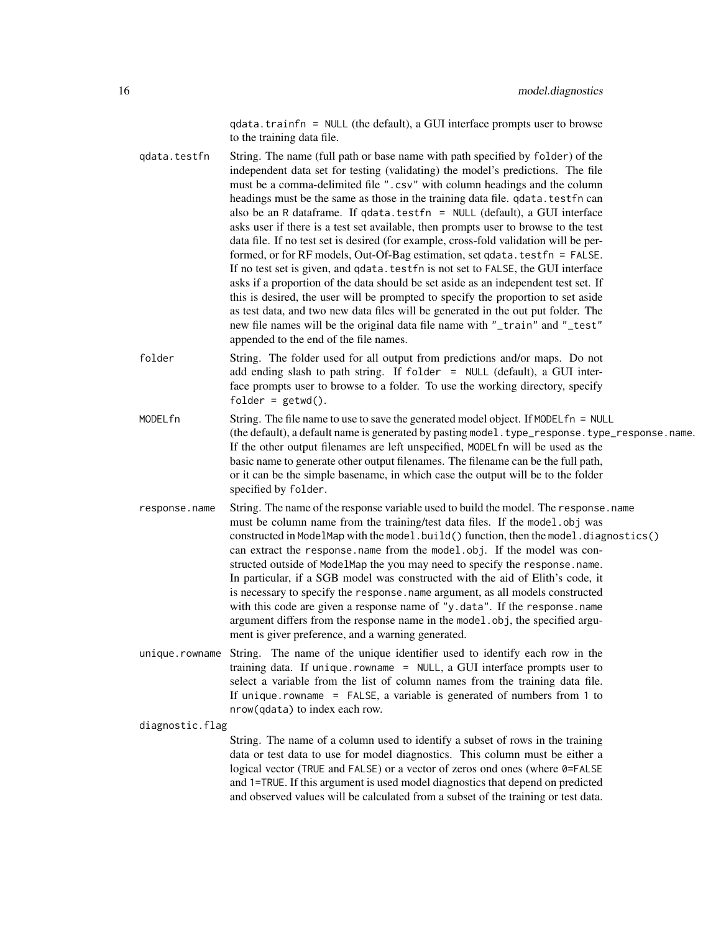qdata.trainfn = NULL (the default), a GUI interface prompts user to browse to the training data file.

- qdata.testfn String. The name (full path or base name with path specified by folder) of the independent data set for testing (validating) the model's predictions. The file must be a comma-delimited file ".csv" with column headings and the column headings must be the same as those in the training data file. gdata.testfn can also be an R dataframe. If qdata.testfn = NULL (default), a GUI interface asks user if there is a test set available, then prompts user to browse to the test data file. If no test set is desired (for example, cross-fold validation will be performed, or for RF models, Out-Of-Bag estimation, set qdata.testfn = FALSE. If no test set is given, and qdata.testfn is not set to FALSE, the GUI interface asks if a proportion of the data should be set aside as an independent test set. If this is desired, the user will be prompted to specify the proportion to set aside as test data, and two new data files will be generated in the out put folder. The new file names will be the original data file name with "\_train" and "\_test" appended to the end of the file names.
- folder String. The folder used for all output from predictions and/or maps. Do not add ending slash to path string. If folder  $=$  NULL (default), a GUI interface prompts user to browse to a folder. To use the working directory, specify folder =  $getwd()$ .
- MODELfn String. The file name to use to save the generated model object. If MODELfn = NULL (the default), a default name is generated by pasting model.type\_response.type\_response.name. If the other output filenames are left unspecified, MODELfn will be used as the basic name to generate other output filenames. The filename can be the full path, or it can be the simple basename, in which case the output will be to the folder specified by folder.
- response.name String. The name of the response variable used to build the model. The response.name must be column name from the training/test data files. If the model.obj was constructed in ModelMap with the model.build() function, then the model.diagnostics() can extract the response.name from the model.obj. If the model was constructed outside of ModelMap the you may need to specify the response.name. In particular, if a SGB model was constructed with the aid of Elith's code, it is necessary to specify the response.name argument, as all models constructed with this code are given a response name of "y.data". If the response.name argument differs from the response name in the model.obj, the specified argument is giver preference, and a warning generated.
- unique.rowname String. The name of the unique identifier used to identify each row in the training data. If unique.rowname = NULL, a GUI interface prompts user to select a variable from the list of column names from the training data file. If unique.rowname = FALSE, a variable is generated of numbers from 1 to nrow(qdata) to index each row.

diagnostic.flag

String. The name of a column used to identify a subset of rows in the training data or test data to use for model diagnostics. This column must be either a logical vector (TRUE and FALSE) or a vector of zeros ond ones (where 0=FALSE and 1=TRUE. If this argument is used model diagnostics that depend on predicted and observed values will be calculated from a subset of the training or test data.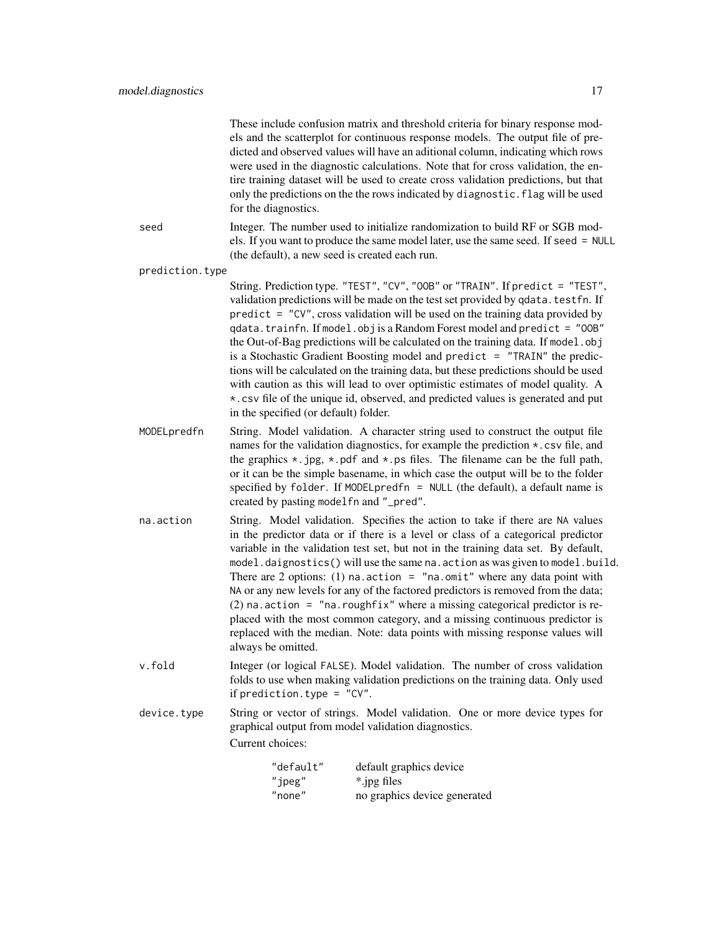|                 | for the diagnostics.                           | These include confusion matrix and threshold criteria for binary response mod-<br>els and the scatterplot for continuous response models. The output file of pre-<br>dicted and observed values will have an aditional column, indicating which rows<br>were used in the diagnostic calculations. Note that for cross validation, the en-<br>tire training dataset will be used to create cross validation predictions, but that<br>only the predictions on the the rows indicated by diagnostic. flag will be used                                                                                                                                                                                                                                                |
|-----------------|------------------------------------------------|--------------------------------------------------------------------------------------------------------------------------------------------------------------------------------------------------------------------------------------------------------------------------------------------------------------------------------------------------------------------------------------------------------------------------------------------------------------------------------------------------------------------------------------------------------------------------------------------------------------------------------------------------------------------------------------------------------------------------------------------------------------------|
| seed            | (the default), a new seed is created each run. | Integer. The number used to initialize randomization to build RF or SGB mod-<br>els. If you want to produce the same model later, use the same seed. If seed = NULL                                                                                                                                                                                                                                                                                                                                                                                                                                                                                                                                                                                                |
| prediction.type |                                                |                                                                                                                                                                                                                                                                                                                                                                                                                                                                                                                                                                                                                                                                                                                                                                    |
|                 | in the specified (or default) folder.          | String. Prediction type. "TEST", "CV", "OOB" or "TRAIN". If predict = "TEST",<br>validation predictions will be made on the test set provided by qdata. testfn. If<br>$predict = "CV", cross validation will be used on the training data provided by$<br>qdata.trainfn. If model.obj is a Random Forest model and predict = "OOB"<br>the Out-of-Bag predictions will be calculated on the training data. If model.obj<br>is a Stochastic Gradient Boosting model and predict = "TRAIN" the predic-<br>tions will be calculated on the training data, but these predictions should be used<br>with caution as this will lead to over optimistic estimates of model quality. A<br>*. csv file of the unique id, observed, and predicted values is generated and put |
| MODELpredfn     | created by pasting modelfn and "_pred".        | String. Model validation. A character string used to construct the output file<br>names for the validation diagnostics, for example the prediction *.csv file, and<br>the graphics $\star$ . jpg, $\star$ . pdf and $\star$ . ps files. The filename can be the full path,<br>or it can be the simple basename, in which case the output will be to the folder<br>specified by folder. If MODELpredfn = NULL (the default), a default name is                                                                                                                                                                                                                                                                                                                      |
| na.action       | always be omitted.                             | String. Model validation. Specifies the action to take if there are NA values<br>in the predictor data or if there is a level or class of a categorical predictor<br>variable in the validation test set, but not in the training data set. By default,<br>model.daignostics() will use the same na.action as was given to model.build.<br>There are 2 options: (1) na. action = "na. omit" where any data point with<br>NA or any new levels for any of the factored predictors is removed from the data;<br>(2) na. action = "na. roughfix" where a missing categorical predictor is re-<br>placed with the most common category, and a missing continuous predictor is<br>replaced with the median. Note: data points with missing response values will         |
| v.fold          | if prediction.type = $"CV".$                   | Integer (or logical FALSE). Model validation. The number of cross validation<br>folds to use when making validation predictions on the training data. Only used                                                                                                                                                                                                                                                                                                                                                                                                                                                                                                                                                                                                    |
| device.type     | Current choices:                               | String or vector of strings. Model validation. One or more device types for<br>graphical output from model validation diagnostics.                                                                                                                                                                                                                                                                                                                                                                                                                                                                                                                                                                                                                                 |
|                 | "default"<br>"jpeg"<br>"none"                  | default graphics device<br>*.jpg files<br>no graphics device generated                                                                                                                                                                                                                                                                                                                                                                                                                                                                                                                                                                                                                                                                                             |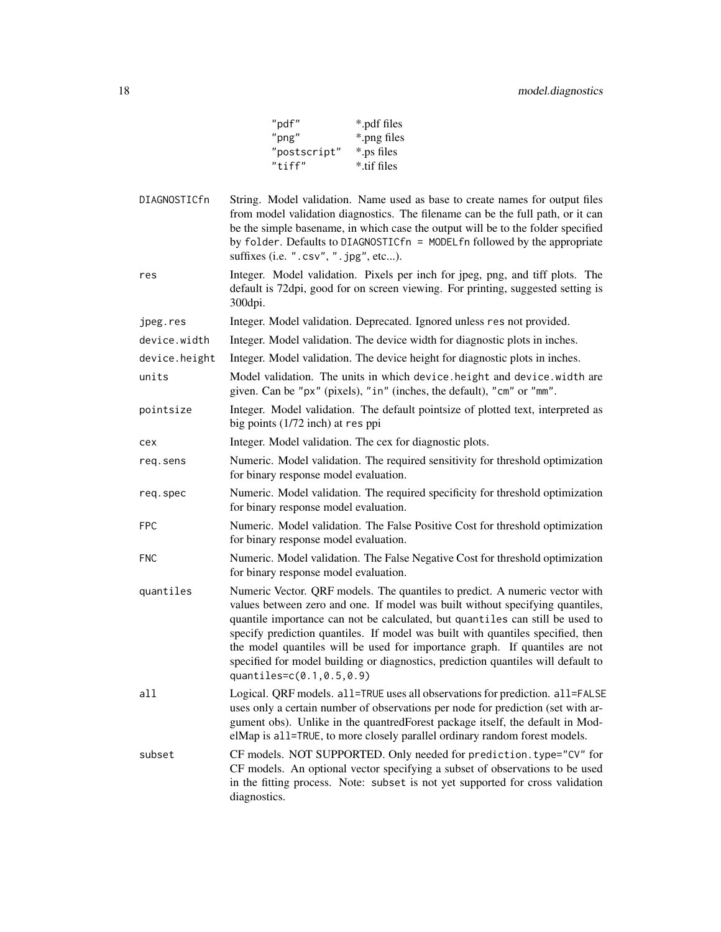| *.pdf files |
|-------------|
| *.png files |
| *.ps files  |
| * tif files |
|             |

DIAGNOSTICfn String. Model validation. Name used as base to create names for output files from model validation diagnostics. The filename can be the full path, or it can be the simple basename, in which case the output will be to the folder specified by folder. Defaults to DIAGNOSTICfn = MODELfn followed by the appropriate suffixes (i.e. ".csv", ".jpg", etc...).

res Integer. Model validation. Pixels per inch for jpeg, png, and tiff plots. The default is 72dpi, good for on screen viewing. For printing, suggested setting is 300dpi.

jpeg.res Integer. Model validation. Deprecated. Ignored unless res not provided.

device.width Integer. Model validation. The device width for diagnostic plots in inches.

device.height Integer. Model validation. The device height for diagnostic plots in inches.

units Model validation. The units in which device.height and device.width are given. Can be "px" (pixels), "in" (inches, the default), "cm" or "mm".

pointsize Integer. Model validation. The default pointsize of plotted text, interpreted as big points (1/72 inch) at res ppi

cex Integer. Model validation. The cex for diagnostic plots.

- req.sens Numeric. Model validation. The required sensitivity for threshold optimization for binary response model evaluation.
- req.spec Numeric. Model validation. The required specificity for threshold optimization for binary response model evaluation.
- FPC Numeric. Model validation. The False Positive Cost for threshold optimization for binary response model evaluation.
- FNC Numeric. Model validation. The False Negative Cost for threshold optimization for binary response model evaluation.
- quantiles Numeric Vector. QRF models. The quantiles to predict. A numeric vector with values between zero and one. If model was built without specifying quantiles, quantile importance can not be calculated, but quantiles can still be used to specify prediction quantiles. If model was built with quantiles specified, then the model quantiles will be used for importance graph. If quantiles are not specified for model building or diagnostics, prediction quantiles will default to quantiles=c(0.1,0.5,0.9)
- all Logical. QRF models. all=TRUE uses all observations for prediction. all=FALSE uses only a certain number of observations per node for prediction (set with argument obs). Unlike in the quantredForest package itself, the default in ModelMap is all=TRUE, to more closely parallel ordinary random forest models.
- subset CF models. NOT SUPPORTED. Only needed for prediction.type="CV" for CF models. An optional vector specifying a subset of observations to be used in the fitting process. Note: subset is not yet supported for cross validation diagnostics.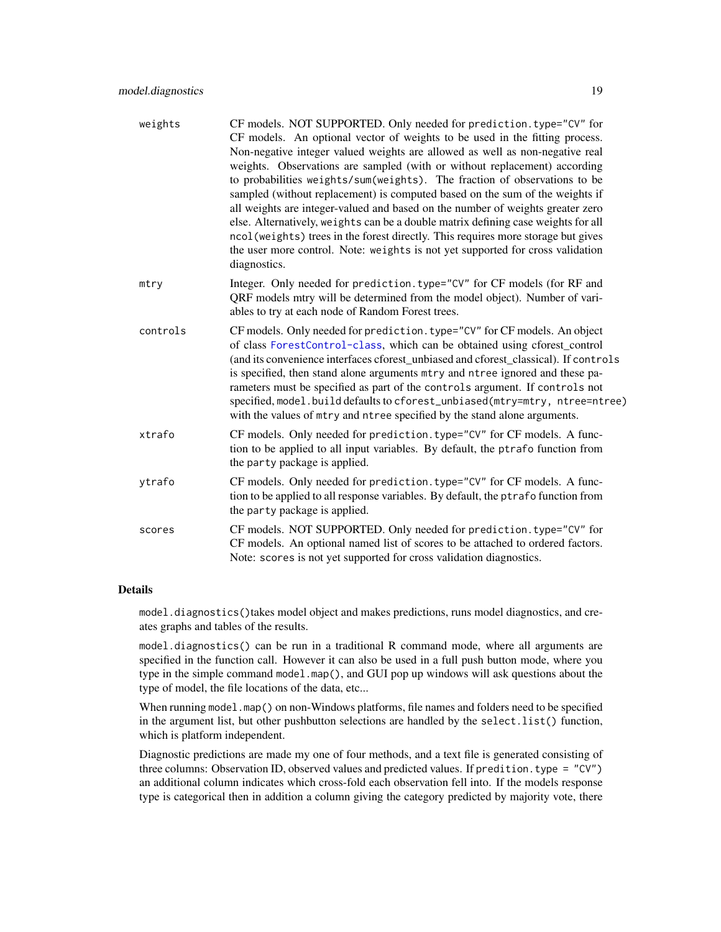| weights  | CF models. NOT SUPPORTED. Only needed for prediction. type="CV" for<br>CF models. An optional vector of weights to be used in the fitting process.<br>Non-negative integer valued weights are allowed as well as non-negative real<br>weights. Observations are sampled (with or without replacement) according<br>to probabilities weights/sum(weights). The fraction of observations to be<br>sampled (without replacement) is computed based on the sum of the weights if<br>all weights are integer-valued and based on the number of weights greater zero<br>else. Alternatively, weights can be a double matrix defining case weights for all<br>ncol (weights) trees in the forest directly. This requires more storage but gives<br>the user more control. Note: weights is not yet supported for cross validation<br>diagnostics. |
|----------|--------------------------------------------------------------------------------------------------------------------------------------------------------------------------------------------------------------------------------------------------------------------------------------------------------------------------------------------------------------------------------------------------------------------------------------------------------------------------------------------------------------------------------------------------------------------------------------------------------------------------------------------------------------------------------------------------------------------------------------------------------------------------------------------------------------------------------------------|
| mtry     | Integer. Only needed for prediction.type="CV" for CF models (for RF and<br>QRF models mtry will be determined from the model object). Number of vari-<br>ables to try at each node of Random Forest trees.                                                                                                                                                                                                                                                                                                                                                                                                                                                                                                                                                                                                                                 |
| controls | CF models. Only needed for prediction. type="CV" for CF models. An object<br>of class ForestControl-class, which can be obtained using cforest_control<br>(and its convenience interfaces cforest_unbiased and cforest_classical). If controls<br>is specified, then stand alone arguments mtry and ntree ignored and these pa-<br>rameters must be specified as part of the controls argument. If controls not<br>specified, model.build defaults to cforest_unbiased(mtry=mtry, ntree=ntree)<br>with the values of mtry and ntree specified by the stand alone arguments.                                                                                                                                                                                                                                                                |
| xtrafo   | CF models. Only needed for prediction. type="CV" for CF models. A func-<br>tion to be applied to all input variables. By default, the ptrafo function from<br>the party package is applied.                                                                                                                                                                                                                                                                                                                                                                                                                                                                                                                                                                                                                                                |
| ytrafo   | CF models. Only needed for prediction. type="CV" for CF models. A func-<br>tion to be applied to all response variables. By default, the ptrafo function from<br>the party package is applied.                                                                                                                                                                                                                                                                                                                                                                                                                                                                                                                                                                                                                                             |
| scores   | CF models. NOT SUPPORTED. Only needed for prediction. type="CV" for<br>CF models. An optional named list of scores to be attached to ordered factors.<br>Note: scores is not yet supported for cross validation diagnostics.                                                                                                                                                                                                                                                                                                                                                                                                                                                                                                                                                                                                               |
|          |                                                                                                                                                                                                                                                                                                                                                                                                                                                                                                                                                                                                                                                                                                                                                                                                                                            |

#### Details

model.diagnostics()takes model object and makes predictions, runs model diagnostics, and creates graphs and tables of the results.

model.diagnostics() can be run in a traditional R command mode, where all arguments are specified in the function call. However it can also be used in a full push button mode, where you type in the simple command model.map(), and GUI pop up windows will ask questions about the type of model, the file locations of the data, etc...

When running model.map() on non-Windows platforms, file names and folders need to be specified in the argument list, but other pushbutton selections are handled by the select.list() function, which is platform independent.

Diagnostic predictions are made my one of four methods, and a text file is generated consisting of three columns: Observation ID, observed values and predicted values. If predition.type = "CV") an additional column indicates which cross-fold each observation fell into. If the models response type is categorical then in addition a column giving the category predicted by majority vote, there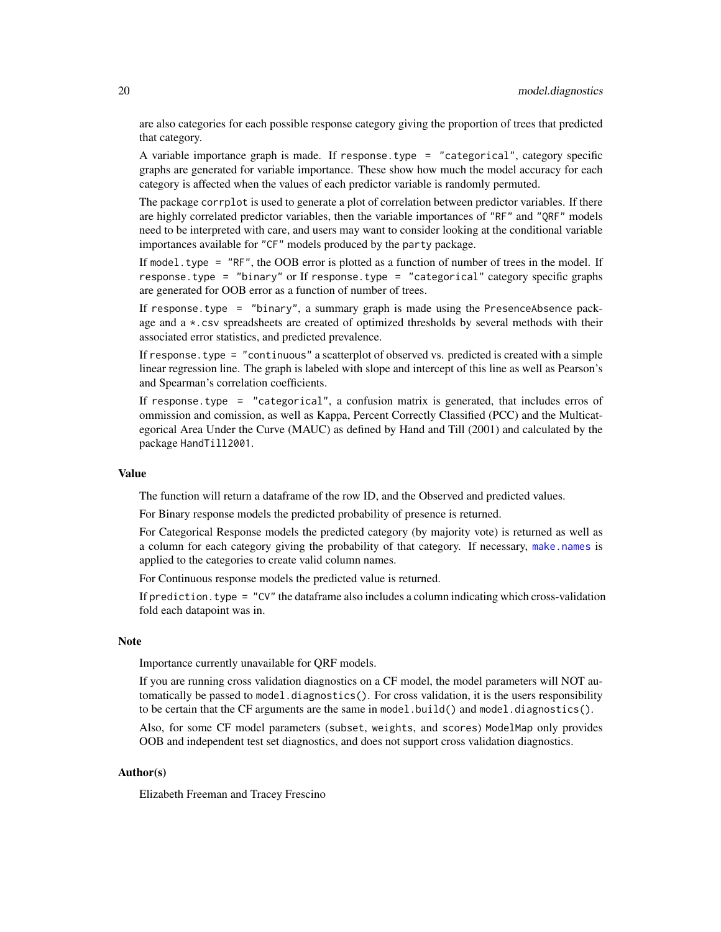are also categories for each possible response category giving the proportion of trees that predicted that category.

A variable importance graph is made. If response.type = "categorical", category specific graphs are generated for variable importance. These show how much the model accuracy for each category is affected when the values of each predictor variable is randomly permuted.

The package corrplot is used to generate a plot of correlation between predictor variables. If there are highly correlated predictor variables, then the variable importances of "RF" and "QRF" models need to be interpreted with care, and users may want to consider looking at the conditional variable importances available for "CF" models produced by the party package.

If model. type  $=$  "RF", the OOB error is plotted as a function of number of trees in the model. If response.type = "binary" or If response.type = "categorical" category specific graphs are generated for OOB error as a function of number of trees.

If response.type = "binary", a summary graph is made using the PresenceAbsence package and a \*.csv spreadsheets are created of optimized thresholds by several methods with their associated error statistics, and predicted prevalence.

If response. type  $=$  "continuous" a scatterplot of observed vs. predicted is created with a simple linear regression line. The graph is labeled with slope and intercept of this line as well as Pearson's and Spearman's correlation coefficients.

If response.type = "categorical", a confusion matrix is generated, that includes erros of ommission and comission, as well as Kappa, Percent Correctly Classified (PCC) and the Multicategorical Area Under the Curve (MAUC) as defined by Hand and Till (2001) and calculated by the package HandTill2001.

# Value

The function will return a dataframe of the row ID, and the Observed and predicted values.

For Binary response models the predicted probability of presence is returned.

For Categorical Response models the predicted category (by majority vote) is returned as well as a column for each category giving the probability of that category. If necessary, [make.names](#page-0-0) is applied to the categories to create valid column names.

For Continuous response models the predicted value is returned.

If prediction. type =  $"CV"$  the dataframe also includes a column indicating which cross-validation fold each datapoint was in.

# **Note**

Importance currently unavailable for QRF models.

If you are running cross validation diagnostics on a CF model, the model parameters will NOT automatically be passed to model.diagnostics(). For cross validation, it is the users responsibility to be certain that the CF arguments are the same in model.build() and model.diagnostics().

Also, for some CF model parameters (subset, weights, and scores) ModelMap only provides OOB and independent test set diagnostics, and does not support cross validation diagnostics.

#### Author(s)

Elizabeth Freeman and Tracey Frescino

<span id="page-19-0"></span>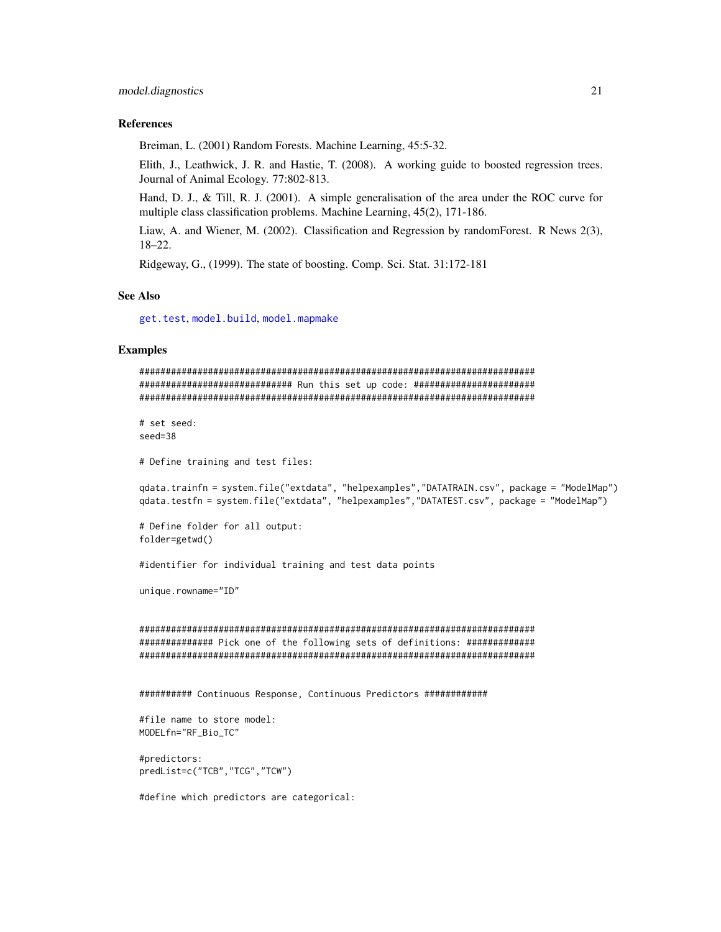#### <span id="page-20-0"></span>References

Breiman, L. (2001) Random Forests. Machine Learning, 45:5-32.

Elith, J., Leathwick, J. R. and Hastie, T. (2008). A working guide to boosted regression trees. Journal of Animal Ecology. 77:802-813.

Hand, D. J., & Till, R. J. (2001). A simple generalisation of the area under the ROC curve for multiple class classification problems. Machine Learning, 45(2), 171-186.

Liaw, A. and Wiener, M. (2002). Classification and Regression by randomForest. R News 2(3), 18–22.

Ridgeway, G., (1999). The state of boosting. Comp. Sci. Stat. 31:172-181

#### See Also

[get.test](#page-5-1), [model.build](#page-7-1), [model.mapmake](#page-43-1)

#### Examples

```
###########################################################################
############################# Run this set up code: #######################
###########################################################################
# set seed:
seed=38
```
# Define training and test files:

```
qdata.trainfn = system.file("extdata", "helpexamples","DATATRAIN.csv", package = "ModelMap")
qdata.testfn = system.file("extdata", "helpexamples","DATATEST.csv", package = "ModelMap")
```

```
# Define folder for all output:
folder=getwd()
```
#identifier for individual training and test data points

unique.rowname="ID"

```
###########################################################################
############## Pick one of the following sets of definitions: #############
###########################################################################
```
########## Continuous Response, Continuous Predictors ############

```
#file name to store model:
MODELfn="RF_Bio_TC"
```

```
#predictors:
predList=c("TCB","TCG","TCW")
```
#define which predictors are categorical: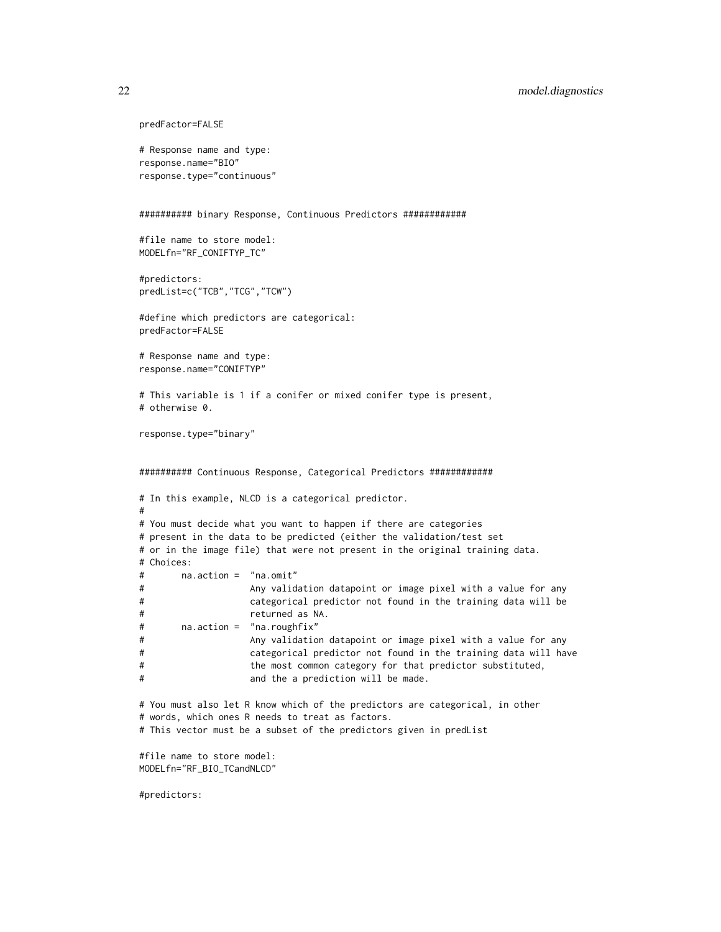```
predFactor=FALSE
# Response name and type:
response.name="BIO"
response.type="continuous"
########## binary Response, Continuous Predictors ############
#file name to store model:
MODELfn="RF_CONIFTYP_TC"
#predictors:
predList=c("TCB","TCG","TCW")
#define which predictors are categorical:
predFactor=FALSE
# Response name and type:
response.name="CONIFTYP"
# This variable is 1 if a conifer or mixed conifer type is present,
# otherwise 0.
response.type="binary"
########## Continuous Response, Categorical Predictors ############
# In this example, NLCD is a categorical predictor.
#
# You must decide what you want to happen if there are categories
# present in the data to be predicted (either the validation/test set
# or in the image file) that were not present in the original training data.
# Choices:
# na.action = "na.omit"
# Any validation datapoint or image pixel with a value for any
# categorical predictor not found in the training data will be
# returned as NA.
# na.action = "na.roughfix"
# Any validation datapoint or image pixel with a value for any
# categorical predictor not found in the training data will have
# the most common category for that predictor substituted,
# and the a prediction will be made.
# You must also let R know which of the predictors are categorical, in other
# words, which ones R needs to treat as factors.
# This vector must be a subset of the predictors given in predList
#file name to store model:
MODELfn="RF_BIO_TCandNLCD"
```
#predictors: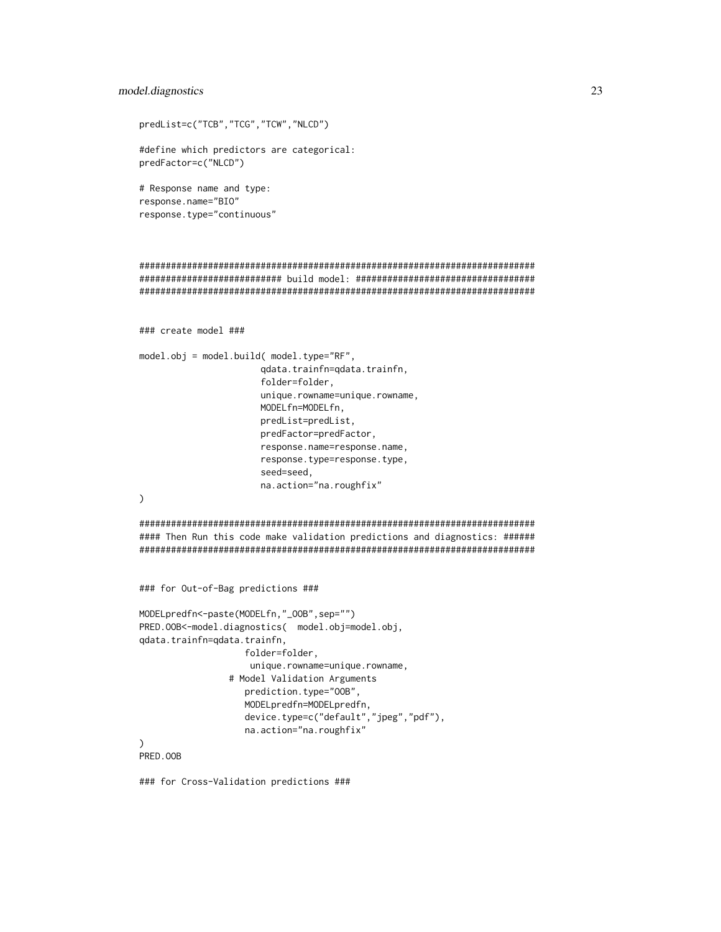#### model.diagnostics 23

```
predList=c("TCB","TCG","TCW","NLCD")
#define which predictors are categorical:
predFactor=c("NLCD")
# Response name and type:
response.name="BIO"
response.type="continuous"
###########################################################################
########################### build model: ##################################
###########################################################################
### create model ###
model.obj = model.build( model.type="RF",
                       qdata.trainfn=qdata.trainfn,
                       folder=folder,
                       unique.rowname=unique.rowname,
                       MODELfn=MODELfn,
                       predList=predList,
                       predFactor=predFactor,
                       response.name=response.name,
                       response.type=response.type,
                       seed=seed,
                       na.action="na.roughfix"
\mathcal{L}###########################################################################
#### Then Run this code make validation predictions and diagnostics: ######
###########################################################################
### for Out-of-Bag predictions ###
MODELpredfn<-paste(MODELfn,"_OOB",sep="")
PRED.OOB<-model.diagnostics( model.obj=model.obj,
qdata.trainfn=qdata.trainfn,
                    folder=folder,
                     unique.rowname=unique.rowname,
                 # Model Validation Arguments
                    prediction.type="OOB",
                    MODELpredfn=MODELpredfn,
                    device.type=c("default","jpeg","pdf"),
                    na.action="na.roughfix"
\lambdaPRED.OOB
```
### for Cross-Validation predictions ###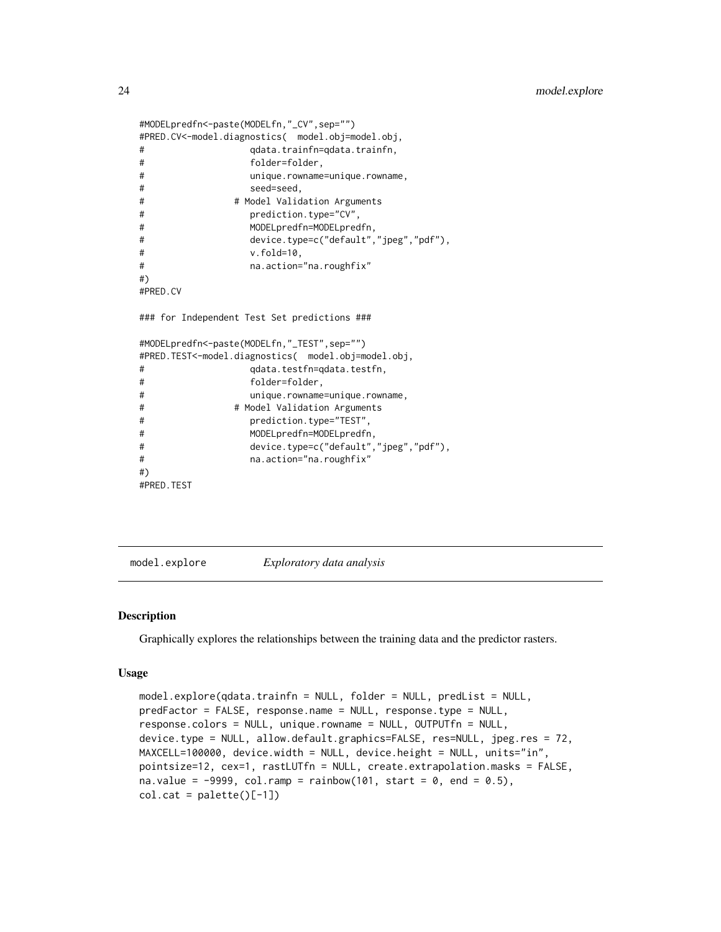```
#MODELpredfn<-paste(MODELfn,"_CV",sep="")
#PRED.CV<-model.diagnostics( model.obj=model.obj,
# qdata.trainfn=qdata.trainfn,
# folder=folder,
# unique.rowname=unique.rowname,
# seed=seed,
# # Model Validation Arguments
# prediction.type="CV",
# MODELpredfn=MODELpredfn,
# device.type=c("default","jpeg","pdf"),
# v.fold=10,
# na.action="na.roughfix"
#)
#PRED.CV
### for Independent Test Set predictions ###
#MODELpredfn<-paste(MODELfn,"_TEST",sep="")
#PRED.TEST<-model.diagnostics( model.obj=model.obj,
# qdata.testfn=qdata.testfn,
# folder=folder,
# unique.rowname=unique.rowname,
# # Model Validation Arguments
# prediction.type="TEST",
# MODELpredfn=MODELpredfn,
# device.type=c("default","jpeg","pdf"),
# na.action="na.roughfix"
#)
#PRED.TEST
```
<span id="page-23-1"></span>model.explore *Exploratory data analysis*

#### Description

Graphically explores the relationships between the training data and the predictor rasters.

#### Usage

```
model.explore(qdata.trainfn = NULL, folder = NULL, predList = NULL,
predFactor = FALSE, response.name = NULL, response.type = NULL,
response.colors = NULL, unique.rowname = NULL, OUTPUTfn = NULL,
device.type = NULL, allow.default.graphics=FALSE, res=NULL, jpeg.res = 72,
MAXCELL=100000, device.width = NULL, device.height = NULL, units="in",
pointsize=12, cex=1, rastLUTfn = NULL, create.extrapolation.masks = FALSE,
na.value = -9999, col.random = rainbow(101, start = 0, end = 0.5),col.cat = palette()[-1])
```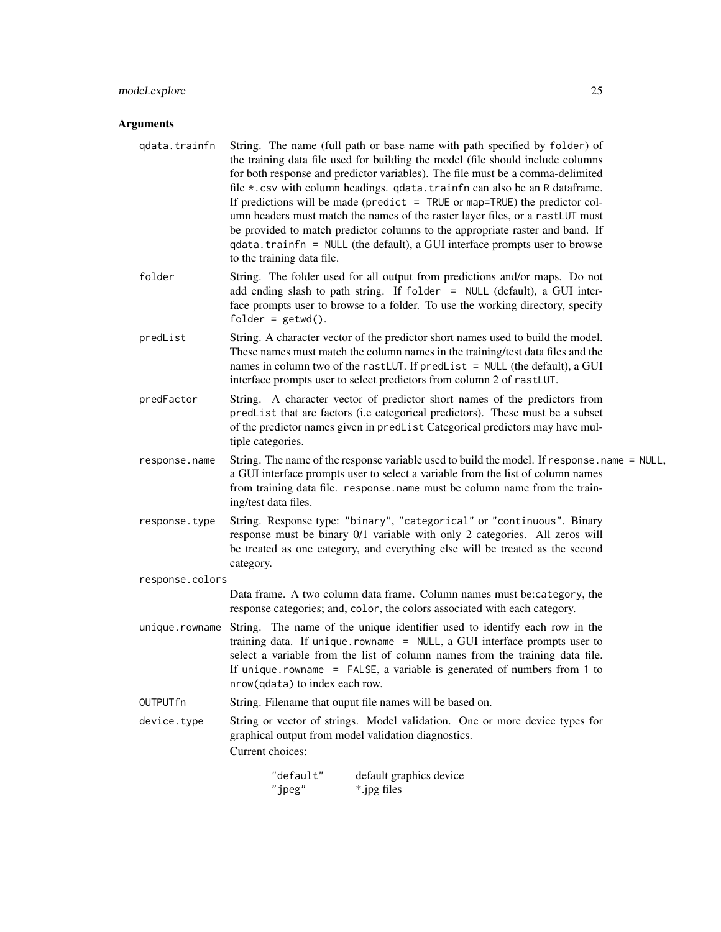# model.explore 25

# Arguments

| qdata.trainfn   | String. The name (full path or base name with path specified by folder) of<br>the training data file used for building the model (file should include columns<br>for both response and predictor variables). The file must be a comma-delimited<br>file *.csv with column headings. qdata.trainfn can also be an R dataframe.<br>If predictions will be made (predict $=$ TRUE or map=TRUE) the predictor col-<br>umn headers must match the names of the raster layer files, or a rastLUT must<br>be provided to match predictor columns to the appropriate raster and band. If<br>qdata.trainfn = NULL (the default), a GUI interface prompts user to browse<br>to the training data file. |  |  |  |
|-----------------|----------------------------------------------------------------------------------------------------------------------------------------------------------------------------------------------------------------------------------------------------------------------------------------------------------------------------------------------------------------------------------------------------------------------------------------------------------------------------------------------------------------------------------------------------------------------------------------------------------------------------------------------------------------------------------------------|--|--|--|
| folder          | String. The folder used for all output from predictions and/or maps. Do not<br>add ending slash to path string. If folder = NULL (default), a GUI inter-<br>face prompts user to browse to a folder. To use the working directory, specify<br>$folder = getwd()$ .                                                                                                                                                                                                                                                                                                                                                                                                                           |  |  |  |
| predList        | String. A character vector of the predictor short names used to build the model.<br>These names must match the column names in the training/test data files and the<br>names in column two of the rast LUT. If predlist = NULL (the default), a GUI<br>interface prompts user to select predictors from column 2 of rastLUT.                                                                                                                                                                                                                                                                                                                                                                 |  |  |  |
| predFactor      | String. A character vector of predictor short names of the predictors from<br>predList that are factors (i.e categorical predictors). These must be a subset<br>of the predictor names given in predList Categorical predictors may have mul-<br>tiple categories.                                                                                                                                                                                                                                                                                                                                                                                                                           |  |  |  |
| response.name   | String. The name of the response variable used to build the model. If response.name = NULL,<br>a GUI interface prompts user to select a variable from the list of column names<br>from training data file. response.name must be column name from the train-<br>ing/test data files.                                                                                                                                                                                                                                                                                                                                                                                                         |  |  |  |
| response.type   | String. Response type: "binary", "categorical" or "continuous". Binary<br>response must be binary 0/1 variable with only 2 categories. All zeros will<br>be treated as one category, and everything else will be treated as the second<br>category.                                                                                                                                                                                                                                                                                                                                                                                                                                          |  |  |  |
| response.colors |                                                                                                                                                                                                                                                                                                                                                                                                                                                                                                                                                                                                                                                                                              |  |  |  |
|                 | Data frame. A two column data frame. Column names must be:category, the<br>response categories; and, color, the colors associated with each category.                                                                                                                                                                                                                                                                                                                                                                                                                                                                                                                                        |  |  |  |
| unique.rowname  | String. The name of the unique identifier used to identify each row in the<br>training data. If unique.rowname = NULL, a GUI interface prompts user to<br>select a variable from the list of column names from the training data file.<br>If unique.rowname = FALSE, a variable is generated of numbers from $1$ to<br>nrow(qdata) to index each row.                                                                                                                                                                                                                                                                                                                                        |  |  |  |
| OUTPUTfn        | String. Filename that ouput file names will be based on.                                                                                                                                                                                                                                                                                                                                                                                                                                                                                                                                                                                                                                     |  |  |  |
| device.type     | String or vector of strings. Model validation. One or more device types for<br>graphical output from model validation diagnostics.<br>Current choices:                                                                                                                                                                                                                                                                                                                                                                                                                                                                                                                                       |  |  |  |
|                 | "default"<br>default graphics device<br>"jpeg"<br>*.jpg files                                                                                                                                                                                                                                                                                                                                                                                                                                                                                                                                                                                                                                |  |  |  |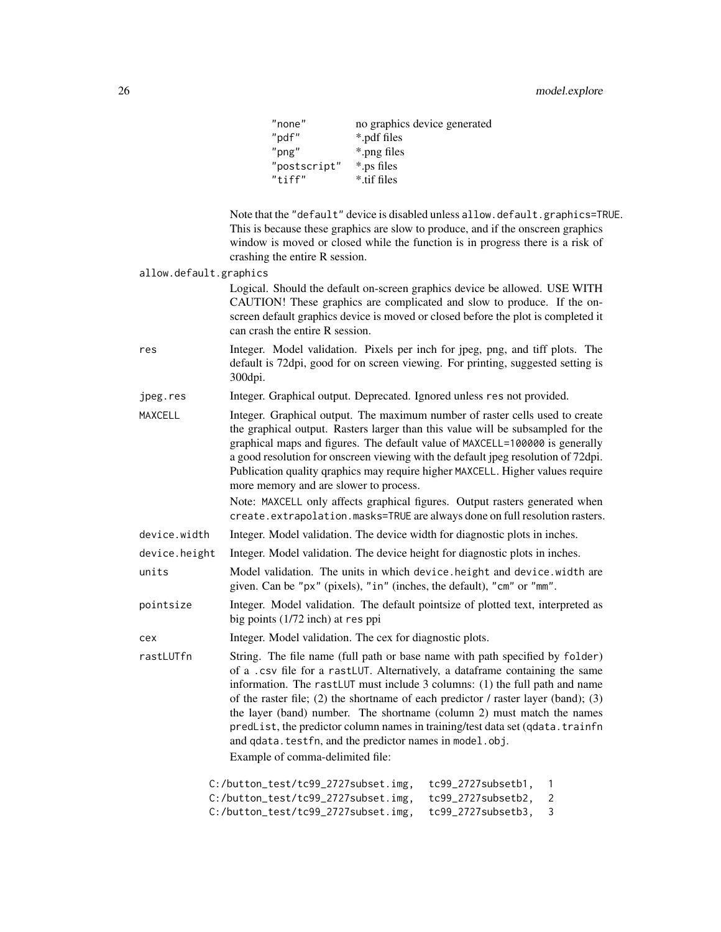| "none"       | no graphics device generated |
|--------------|------------------------------|
| "pdf"        | *.pdf files                  |
| $"$ png"     | *.png files                  |
| "postscript" | *.ps files                   |
| "tiff"       | *.tif files                  |

Note that the "default" device is disabled unless allow.default.graphics=TRUE. This is because these graphics are slow to produce, and if the onscreen graphics window is moved or closed while the function is in progress there is a risk of crashing the entire R session.

allow.default.graphics

Logical. Should the default on-screen graphics device be allowed. USE WITH CAUTION! These graphics are complicated and slow to produce. If the onscreen default graphics device is moved or closed before the plot is completed it can crash the entire R session.

- res Integer. Model validation. Pixels per inch for jpeg, png, and tiff plots. The default is 72dpi, good for on screen viewing. For printing, suggested setting is 300dpi.
- jpeg.res Integer. Graphical output. Deprecated. Ignored unless res not provided.
- MAXCELL Integer. Graphical output. The maximum number of raster cells used to create the graphical output. Rasters larger than this value will be subsampled for the graphical maps and figures. The default value of MAXCELL=100000 is generally a good resolution for onscreen viewing with the default jpeg resolution of 72dpi. Publication quality qraphics may require higher MAXCELL. Higher values require more memory and are slower to process.

Note: MAXCELL only affects graphical figures. Output rasters generated when create.extrapolation.masks=TRUE are always done on full resolution rasters.

- device.width Integer. Model validation. The device width for diagnostic plots in inches.
- device.height Integer. Model validation. The device height for diagnostic plots in inches.
- units Model validation. The units in which device.height and device.width are given. Can be "px" (pixels), "in" (inches, the default), "cm" or "mm".
- pointsize Integer. Model validation. The default pointsize of plotted text, interpreted as big points (1/72 inch) at res ppi
- cex Integer. Model validation. The cex for diagnostic plots.
- rastLUTfn String. The file name (full path or base name with path specified by folder) of a .csv file for a rastLUT. Alternatively, a dataframe containing the same information. The rastLUT must include 3 columns: (1) the full path and name of the raster file; (2) the shortname of each predictor  $\ell$  raster layer (band); (3) the layer (band) number. The shortname (column 2) must match the names predList, the predictor column names in training/test data set (qdata.trainfn and qdata.testfn, and the predictor names in model.obj. Example of comma-delimited file:

| $C:$ /button_test/tc99_2727subset.img, | tc99 2727subsetb1. |     |
|----------------------------------------|--------------------|-----|
| C:/button test/tc99 2727subset.img.    | tc99_2727subsetb2, | - 2 |
| $C$ :/button_test/tc99_2727subset.img, | tc99 2727subsetb3. | - 3 |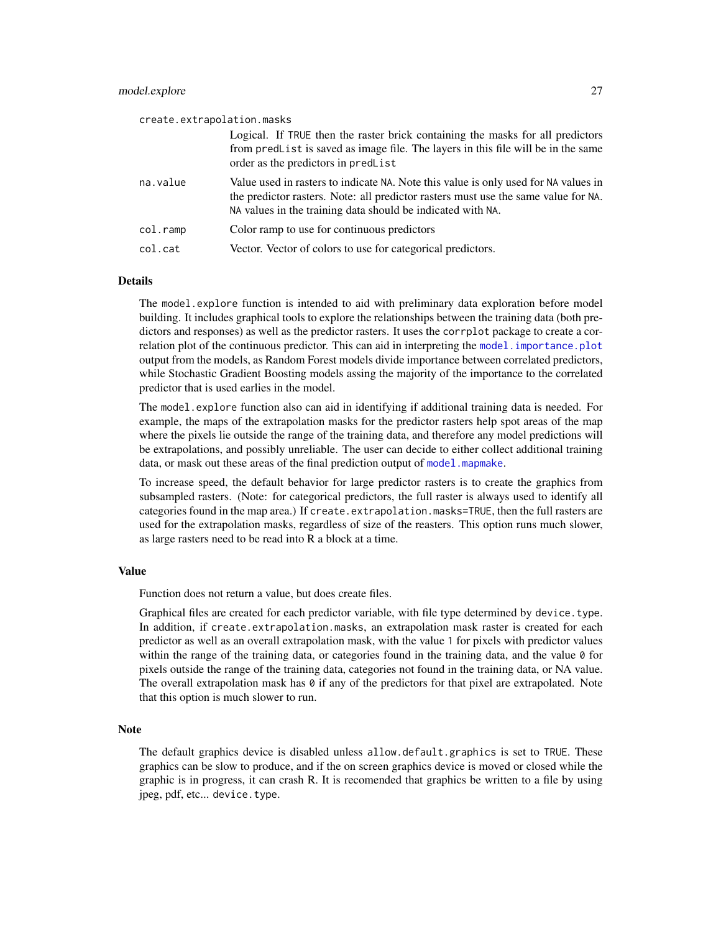<span id="page-26-0"></span>

| create.extrapolation.masks |                                                                                                                                                                                                                                          |
|----------------------------|------------------------------------------------------------------------------------------------------------------------------------------------------------------------------------------------------------------------------------------|
|                            | Logical. If TRUE then the raster brick containing the masks for all predictors<br>from predlet is saved as image file. The layers in this file will be in the same<br>order as the predictors in predList                                |
| na.value                   | Value used in rasters to indicate NA. Note this value is only used for NA values in<br>the predictor rasters. Note: all predictor rasters must use the same value for NA.<br>NA values in the training data should be indicated with NA. |
| col.ramp                   | Color ramp to use for continuous predictors                                                                                                                                                                                              |
| col.cat                    | Vector. Vector of colors to use for categorical predictors.                                                                                                                                                                              |

# **Details**

The model.explore function is intended to aid with preliminary data exploration before model building. It includes graphical tools to explore the relationships between the training data (both predictors and responses) as well as the predictor rasters. It uses the corrplot package to create a correlation plot of the continuous predictor. This can aid in interpreting the model. importance. plot output from the models, as Random Forest models divide importance between correlated predictors, while Stochastic Gradient Boosting models assing the majority of the importance to the correlated predictor that is used earlies in the model.

The model.explore function also can aid in identifying if additional training data is needed. For example, the maps of the extrapolation masks for the predictor rasters help spot areas of the map where the pixels lie outside the range of the training data, and therefore any model predictions will be extrapolations, and possibly unreliable. The user can decide to either collect additional training data, or mask out these areas of the final prediction output of model, mapmake.

To increase speed, the default behavior for large predictor rasters is to create the graphics from subsampled rasters. (Note: for categorical predictors, the full raster is always used to identify all categories found in the map area.) If create.extrapolation.masks=TRUE, then the full rasters are used for the extrapolation masks, regardless of size of the reasters. This option runs much slower, as large rasters need to be read into R a block at a time.

#### Value

Function does not return a value, but does create files.

Graphical files are created for each predictor variable, with file type determined by device.type. In addition, if create.extrapolation.masks, an extrapolation mask raster is created for each predictor as well as an overall extrapolation mask, with the value 1 for pixels with predictor values within the range of the training data, or categories found in the training data, and the value  $\theta$  for pixels outside the range of the training data, categories not found in the training data, or NA value. The overall extrapolation mask has  $\theta$  if any of the predictors for that pixel are extrapolated. Note that this option is much slower to run.

#### Note

The default graphics device is disabled unless allow.default.graphics is set to TRUE. These graphics can be slow to produce, and if the on screen graphics device is moved or closed while the graphic is in progress, it can crash R. It is recomended that graphics be written to a file by using jpeg, pdf, etc... device.type.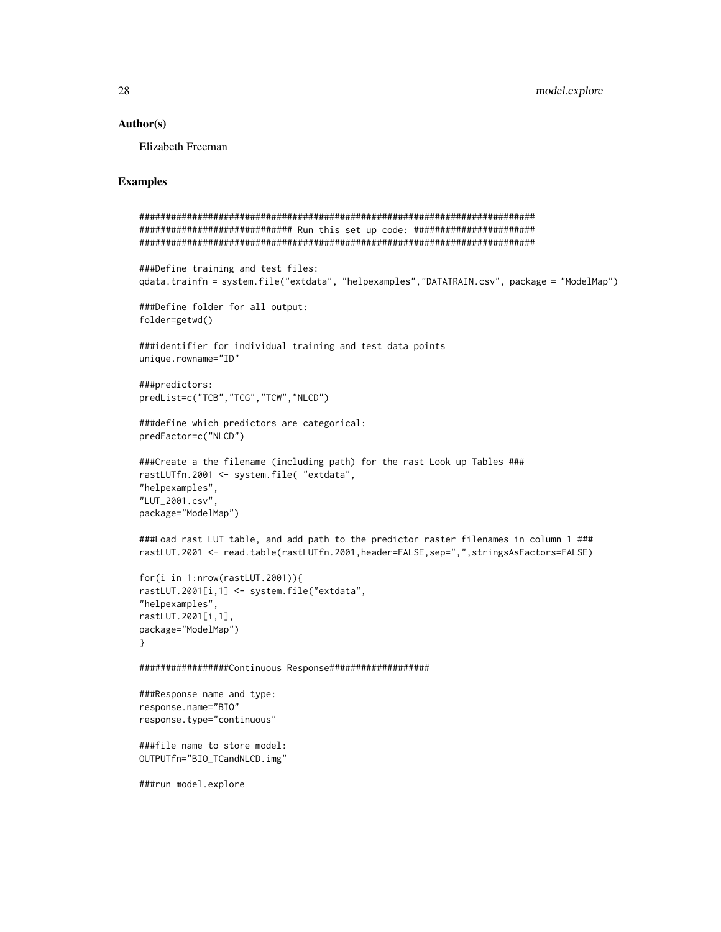#### Author(s)

Elizabeth Freeman

# Examples

```
###########################################################################
############################# Run this set up code: #######################
###########################################################################
###Define training and test files:
qdata.trainfn = system.file("extdata", "helpexamples","DATATRAIN.csv", package = "ModelMap")
###Define folder for all output:
folder=getwd()
###identifier for individual training and test data points
unique.rowname="ID"
###predictors:
predList=c("TCB","TCG","TCW","NLCD")
###define which predictors are categorical:
predFactor=c("NLCD")
###Create a the filename (including path) for the rast Look up Tables ###
rastLUTfn.2001 <- system.file( "extdata",
"helpexamples",
"LUT_2001.csv",
package="ModelMap")
###Load rast LUT table, and add path to the predictor raster filenames in column 1 ###
rastLUT.2001 <- read.table(rastLUTfn.2001,header=FALSE,sep=",",stringsAsFactors=FALSE)
for(i in 1:nrow(rastLUT.2001)){
rastLUT.2001[i,1] <- system.file("extdata",
"helpexamples",
rastLUT.2001[i,1],
package="ModelMap")
}
#################Continuous Response###################
###Response name and type:
response.name="BIO"
response.type="continuous"
###file name to store model:
OUTPUTfn="BIO_TCandNLCD.img"
###run model.explore
```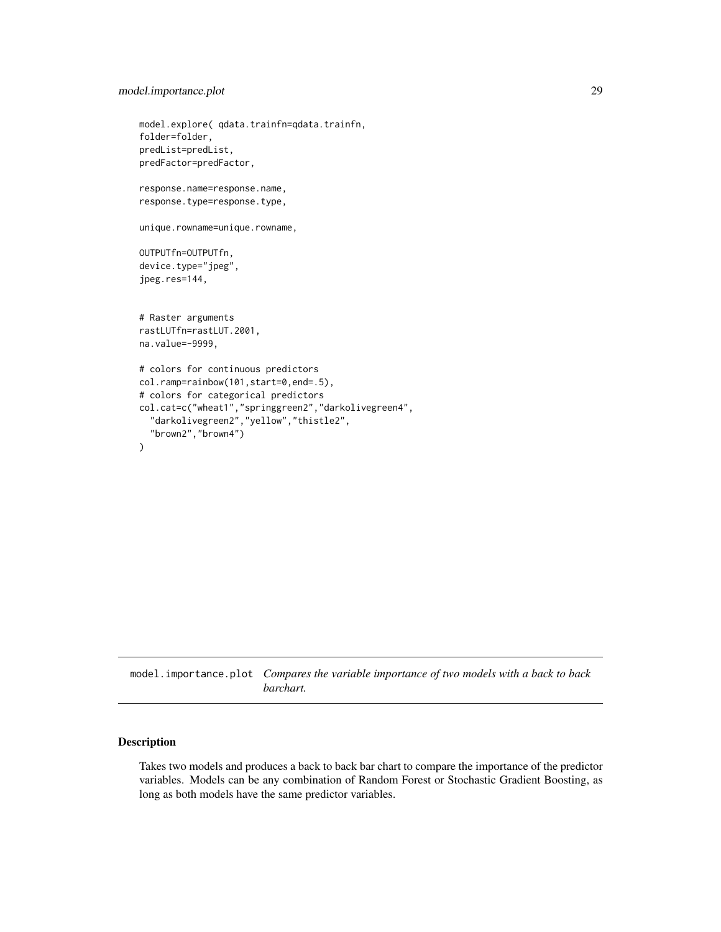# <span id="page-28-0"></span>model.importance.plot 29

```
model.explore( qdata.trainfn=qdata.trainfn,
folder=folder,
predList=predList,
predFactor=predFactor,
response.name=response.name,
response.type=response.type,
unique.rowname=unique.rowname,
OUTPUTfn=OUTPUTfn,
device.type="jpeg",
jpeg.res=144,
# Raster arguments
rastLUTfn=rastLUT.2001,
na.value=-9999,
# colors for continuous predictors
col.ramp=rainbow(101,start=0,end=.5),
# colors for categorical predictors
col.cat=c("wheat1","springgreen2","darkolivegreen4",
  "darkolivegreen2","yellow","thistle2",
  "brown2","brown4")
```
<span id="page-28-1"></span>model.importance.plot *Compares the variable importance of two models with a back to back barchart.*

#### Description

)

Takes two models and produces a back to back bar chart to compare the importance of the predictor variables. Models can be any combination of Random Forest or Stochastic Gradient Boosting, as long as both models have the same predictor variables.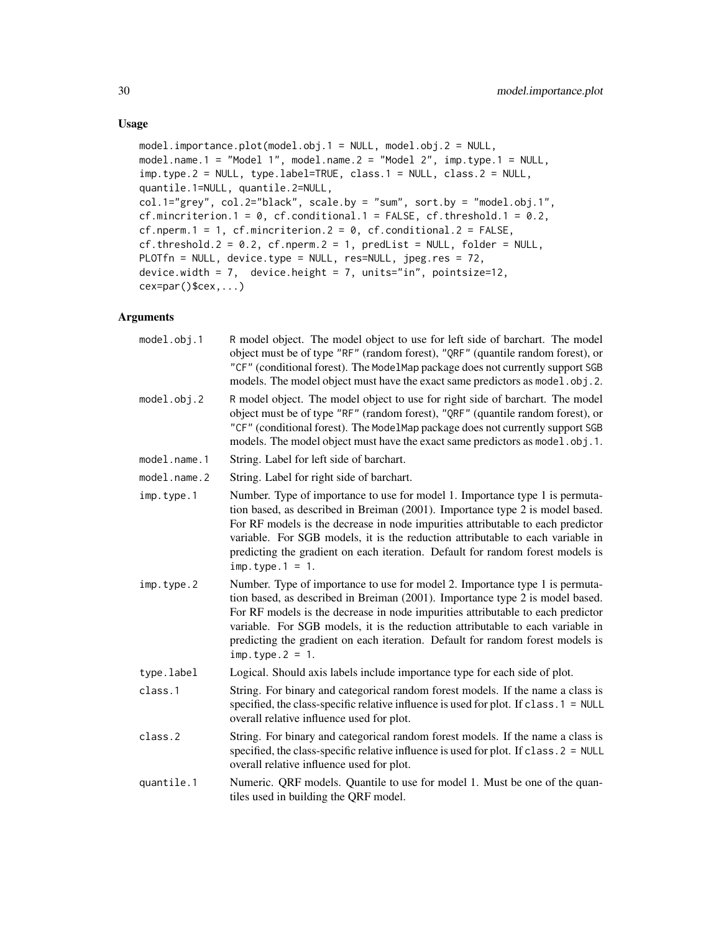## Usage

```
model.importance.plot(model.obj.1 = NULL, model.obj.2 = NULL,
model.name.1 = "Model 1", model.name.2 = "Model 2", imp.type.1 = NULL,
imp.type.2 = NULL, type.label=TRUE, class.1 = NULL, class.2 = NULL,
quantile.1=NULL, quantile.2=NULL,
col.1="grey", col.2="black", scale.by = "sum", sort.by = "model.obj.1",
cf.mincriterion.1 = 0, cf.conditional.1 = FALSE, cf.threshold.1 = 0.2,
cf.nperm.1 = 1, cf.mincriterion.2 = 0, cf.conditional.2 = FALSE,
cf. threshold.2 = 0.2, cf. nperm.2 = 1, predList = NULL, folder = NULL,
PLOTfn = NULL, device.type = NULL, res=NULL, jpeg.res = 72,
device.width = 7, device.height = 7, units="in", pointsize=12,
cex=par()$cex,...)
```
# Arguments

| model.obj.1       | R model object. The model object to use for left side of barchart. The model<br>object must be of type "RF" (random forest), "QRF" (quantile random forest), or<br>"CF" (conditional forest). The ModelMap package does not currently support SGB<br>models. The model object must have the exact same predictors as model . obj. 2.                                                                                                        |
|-------------------|---------------------------------------------------------------------------------------------------------------------------------------------------------------------------------------------------------------------------------------------------------------------------------------------------------------------------------------------------------------------------------------------------------------------------------------------|
| $model.$ obj. $2$ | R model object. The model object to use for right side of barchart. The model<br>object must be of type "RF" (random forest), "QRF" (quantile random forest), or<br>"CF" (conditional forest). The ModelMap package does not currently support SGB<br>models. The model object must have the exact same predictors as model.obj.1.                                                                                                          |
| model.name.1      | String. Label for left side of barchart.                                                                                                                                                                                                                                                                                                                                                                                                    |
| model.name.2      | String. Label for right side of barchart.                                                                                                                                                                                                                                                                                                                                                                                                   |
| imp.type.1        | Number. Type of importance to use for model 1. Importance type 1 is permuta-<br>tion based, as described in Breiman (2001). Importance type 2 is model based.<br>For RF models is the decrease in node impurities attributable to each predictor<br>variable. For SGB models, it is the reduction attributable to each variable in<br>predicting the gradient on each iteration. Default for random forest models is<br>$imp. type.1 = 1.$  |
| imp.type.2        | Number. Type of importance to use for model 2. Importance type 1 is permuta-<br>tion based, as described in Breiman (2001). Importance type 2 is model based.<br>For RF models is the decrease in node impurities attributable to each predictor<br>variable. For SGB models, it is the reduction attributable to each variable in<br>predicting the gradient on each iteration. Default for random forest models is<br>$imp. type. 2 = 1.$ |
| type.label        | Logical. Should axis labels include importance type for each side of plot.                                                                                                                                                                                                                                                                                                                                                                  |
| class.1           | String. For binary and categorical random forest models. If the name a class is<br>specified, the class-specific relative influence is used for plot. If class $.1 = NULL$<br>overall relative influence used for plot.                                                                                                                                                                                                                     |
| class.2           | String. For binary and categorical random forest models. If the name a class is<br>specified, the class-specific relative influence is used for plot. If class. 2 = NULL<br>overall relative influence used for plot.                                                                                                                                                                                                                       |
| quantile.1        | Numeric. QRF models. Quantile to use for model 1. Must be one of the quan-<br>tiles used in building the QRF model.                                                                                                                                                                                                                                                                                                                         |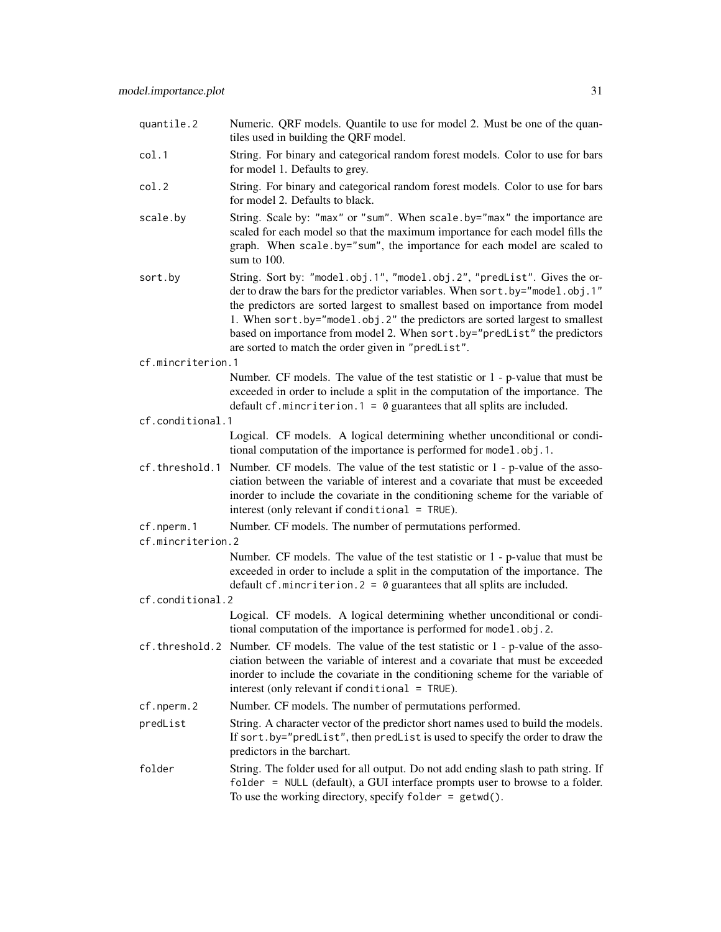| quantile.2        | Numeric. QRF models. Quantile to use for model 2. Must be one of the quan-<br>tiles used in building the QRF model.                                                                                                                                                                                                                                                                                                                                       |
|-------------------|-----------------------------------------------------------------------------------------------------------------------------------------------------------------------------------------------------------------------------------------------------------------------------------------------------------------------------------------------------------------------------------------------------------------------------------------------------------|
| col.1             | String. For binary and categorical random forest models. Color to use for bars<br>for model 1. Defaults to grey.                                                                                                                                                                                                                                                                                                                                          |
| col.2             | String. For binary and categorical random forest models. Color to use for bars<br>for model 2. Defaults to black.                                                                                                                                                                                                                                                                                                                                         |
| scale.by          | String. Scale by: "max" or "sum". When scale.by="max" the importance are<br>scaled for each model so that the maximum importance for each model fills the<br>graph. When scale.by="sum", the importance for each model are scaled to<br>sum to $100$ .                                                                                                                                                                                                    |
| sort.by           | String. Sort by: "model.obj.1", "model.obj.2", "predList". Gives the or-<br>der to draw the bars for the predictor variables. When sort.by="model.obj.1"<br>the predictors are sorted largest to smallest based on importance from model<br>1. When sort.by="model.obj.2" the predictors are sorted largest to smallest<br>based on importance from model 2. When sort.by="predList" the predictors<br>are sorted to match the order given in "predList". |
| cf.mincriterion.1 |                                                                                                                                                                                                                                                                                                                                                                                                                                                           |
|                   | Number. CF models. The value of the test statistic or 1 - p-value that must be<br>exceeded in order to include a split in the computation of the importance. The<br>default cf. mincriterion. $1 = 0$ guarantees that all splits are included.                                                                                                                                                                                                            |
| cf.conditional.1  |                                                                                                                                                                                                                                                                                                                                                                                                                                                           |
|                   | Logical. CF models. A logical determining whether unconditional or condi-<br>tional computation of the importance is performed for model.obj.1.                                                                                                                                                                                                                                                                                                           |
| cf.threshold.1    | Number. CF models. The value of the test statistic or 1 - p-value of the asso-<br>ciation between the variable of interest and a covariate that must be exceeded<br>inorder to include the covariate in the conditioning scheme for the variable of<br>interest (only relevant if conditional $=$ TRUE).                                                                                                                                                  |
| cf.nperm.1        | Number. CF models. The number of permutations performed.                                                                                                                                                                                                                                                                                                                                                                                                  |
| cf.mincriterion.2 |                                                                                                                                                                                                                                                                                                                                                                                                                                                           |
|                   | Number. CF models. The value of the test statistic or 1 - p-value that must be<br>exceeded in order to include a split in the computation of the importance. The<br>default cf. mincriterion. $2 = 0$ guarantees that all splits are included.                                                                                                                                                                                                            |
| cf.conditional.2  |                                                                                                                                                                                                                                                                                                                                                                                                                                                           |
|                   | Logical. CF models. A logical determining whether unconditional or condi-<br>tional computation of the importance is performed for model.obj.2.                                                                                                                                                                                                                                                                                                           |
|                   | cf.threshold.2 Number. CF models. The value of the test statistic or 1 - p-value of the asso-<br>ciation between the variable of interest and a covariate that must be exceeded<br>inorder to include the covariate in the conditioning scheme for the variable of<br>interest (only relevant if conditional $=$ TRUE).                                                                                                                                   |
| cf.nperm.2        | Number. CF models. The number of permutations performed.                                                                                                                                                                                                                                                                                                                                                                                                  |
| predList          | String. A character vector of the predictor short names used to build the models.<br>If sort.by="predList", then predList is used to specify the order to draw the<br>predictors in the barchart.                                                                                                                                                                                                                                                         |
| folder            | String. The folder used for all output. Do not add ending slash to path string. If<br>folder = NULL (default), a GUI interface prompts user to browse to a folder.<br>To use the working directory, specify $f$ older = getwd().                                                                                                                                                                                                                          |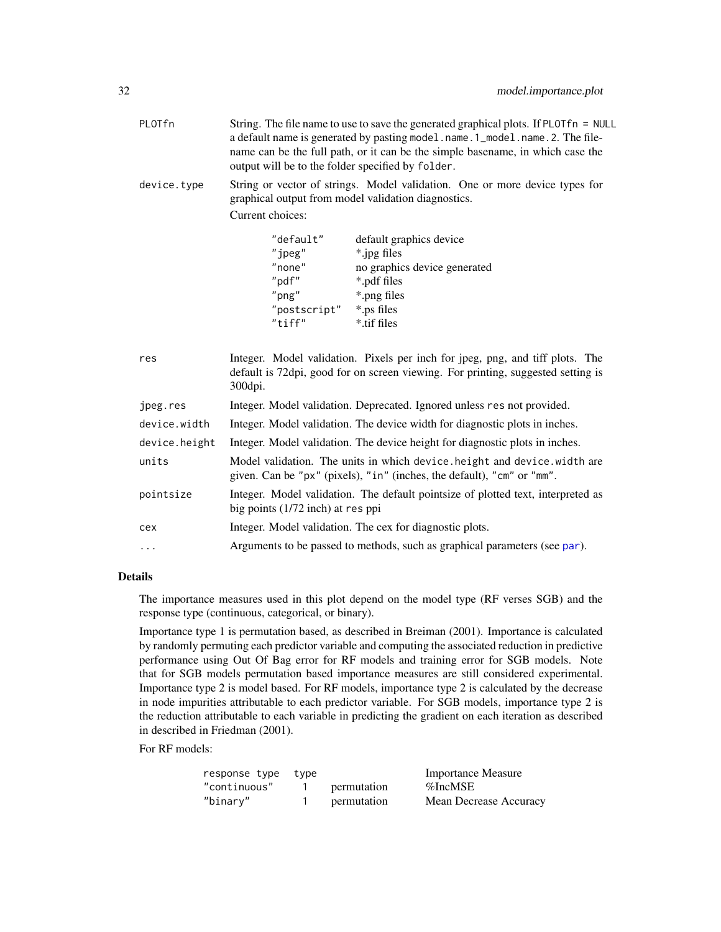<span id="page-31-0"></span>

| PLOTfn | String. The file name to use to save the generated graphical plots. If PLOT fn = NULL |
|--------|---------------------------------------------------------------------------------------|
|        | a default name is generated by pasting model.name.1_model.name.2. The file-           |
|        | name can be the full path, or it can be the simple basename, in which case the        |
|        | output will be to the folder specified by folder.                                     |

device.type String or vector of strings. Model validation. One or more device types for graphical output from model validation diagnostics. Current choices:

| "default"    | default graphics device      |
|--------------|------------------------------|
| "i           | *.jpg files                  |
| "none"       | no graphics device generated |
| "pdf"        | *.pdf files                  |
| $"$ png"     | *.png files                  |
| "postscript" | *.ps files                   |
| $"$ tiff"    | *.tif files                  |

| Integer. Model validation. Pixels per inch for jpeg, png, and tiff plots. The<br>default is 72dpi, good for on screen viewing. For printing, suggested setting is<br>$300$ dpi. |
|---------------------------------------------------------------------------------------------------------------------------------------------------------------------------------|
| Integer. Model validation. Deprecated. Ignored unless res not provided.                                                                                                         |
| Integer. Model validation. The device width for diagnostic plots in inches.                                                                                                     |
| Integer. Model validation. The device height for diagnostic plots in inches.                                                                                                    |
| Model validation. The units in which device, height and device, width are<br>given. Can be "px" (pixels), "in" (inches, the default), "cm" or "mm".                             |
| Integer. Model validation. The default pointsize of plotted text, interpreted as<br>big points $(1/72$ inch) at res ppi                                                         |
| Integer. Model validation. The cex for diagnostic plots.                                                                                                                        |
|                                                                                                                                                                                 |
|                                                                                                                                                                                 |

# Details

The importance measures used in this plot depend on the model type (RF verses SGB) and the response type (continuous, categorical, or binary).

Importance type 1 is permutation based, as described in Breiman (2001). Importance is calculated by randomly permuting each predictor variable and computing the associated reduction in predictive performance using Out Of Bag error for RF models and training error for SGB models. Note that for SGB models permutation based importance measures are still considered experimental. Importance type 2 is model based. For RF models, importance type 2 is calculated by the decrease in node impurities attributable to each predictor variable. For SGB models, importance type 2 is the reduction attributable to each variable in predicting the gradient on each iteration as described in described in Friedman (2001).

For RF models:

| response type | tvpe |             | <b>Importance Measure</b> |
|---------------|------|-------------|---------------------------|
| "continuous"  |      | permutation | %IncMSE                   |
| "binary"      |      | permutation | Mean Decrease Accuracy    |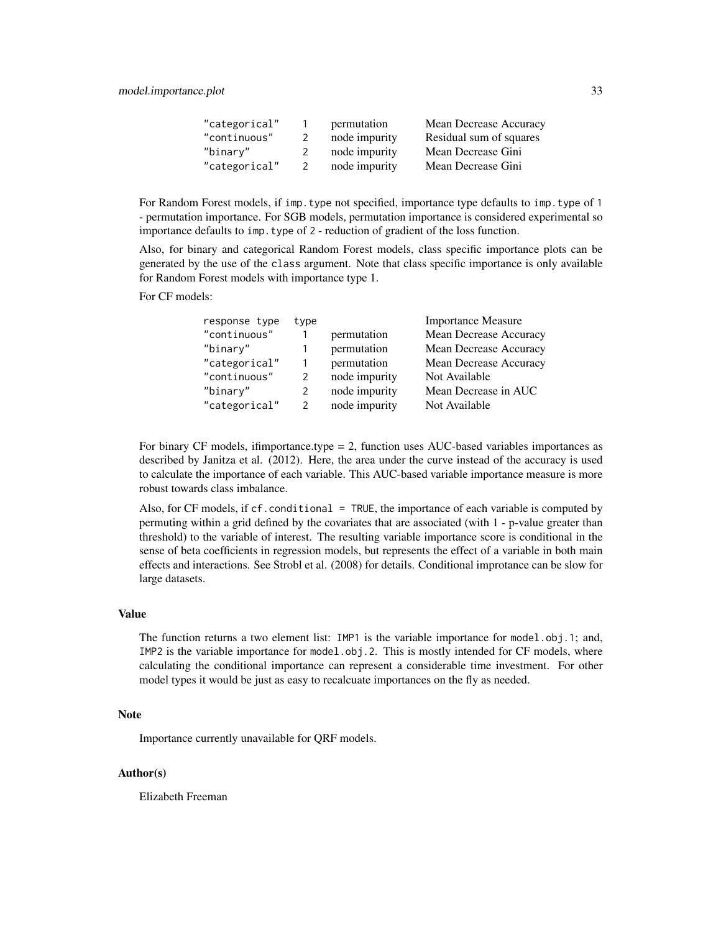| "categorical" | permutation   | Mean Decrease Accuracy  |
|---------------|---------------|-------------------------|
| "continuous"  | node impurity | Residual sum of squares |
| "binarv"      | node impurity | Mean Decrease Gini      |
| "categorical" | node impurity | Mean Decrease Gini      |

For Random Forest models, if imp.type not specified, importance type defaults to imp.type of 1 - permutation importance. For SGB models, permutation importance is considered experimental so importance defaults to imp.type of 2 - reduction of gradient of the loss function.

Also, for binary and categorical Random Forest models, class specific importance plots can be generated by the use of the class argument. Note that class specific importance is only available for Random Forest models with importance type 1.

For CF models:

| response type | type          |               | <b>Importance Measure</b> |
|---------------|---------------|---------------|---------------------------|
| "continuous"  |               | permutation   | Mean Decrease Accuracy    |
| "binary"      |               | permutation   | Mean Decrease Accuracy    |
| "categorical" |               | permutation   | Mean Decrease Accuracy    |
| "continuous"  |               | node impurity | Not Available             |
| "binary"      |               | node impurity | Mean Decrease in AUC      |
| "categorical" | $\mathcal{P}$ | node impurity | Not Available             |
|               |               |               |                           |

For binary CF models, ifimportance.type = 2, function uses AUC-based variables importances as described by Janitza et al. (2012). Here, the area under the curve instead of the accuracy is used to calculate the importance of each variable. This AUC-based variable importance measure is more robust towards class imbalance.

Also, for CF models, if cf.conditional = TRUE, the importance of each variable is computed by permuting within a grid defined by the covariates that are associated (with 1 - p-value greater than threshold) to the variable of interest. The resulting variable importance score is conditional in the sense of beta coefficients in regression models, but represents the effect of a variable in both main effects and interactions. See Strobl et al. (2008) for details. Conditional improtance can be slow for large datasets.

### Value

The function returns a two element list: IMP1 is the variable importance for model.obj.1; and, IMP2 is the variable importance for model.obj.2. This is mostly intended for CF models, where calculating the conditional importance can represent a considerable time investment. For other model types it would be just as easy to recalcuate importances on the fly as needed.

#### Note

Importance currently unavailable for QRF models.

#### Author(s)

Elizabeth Freeman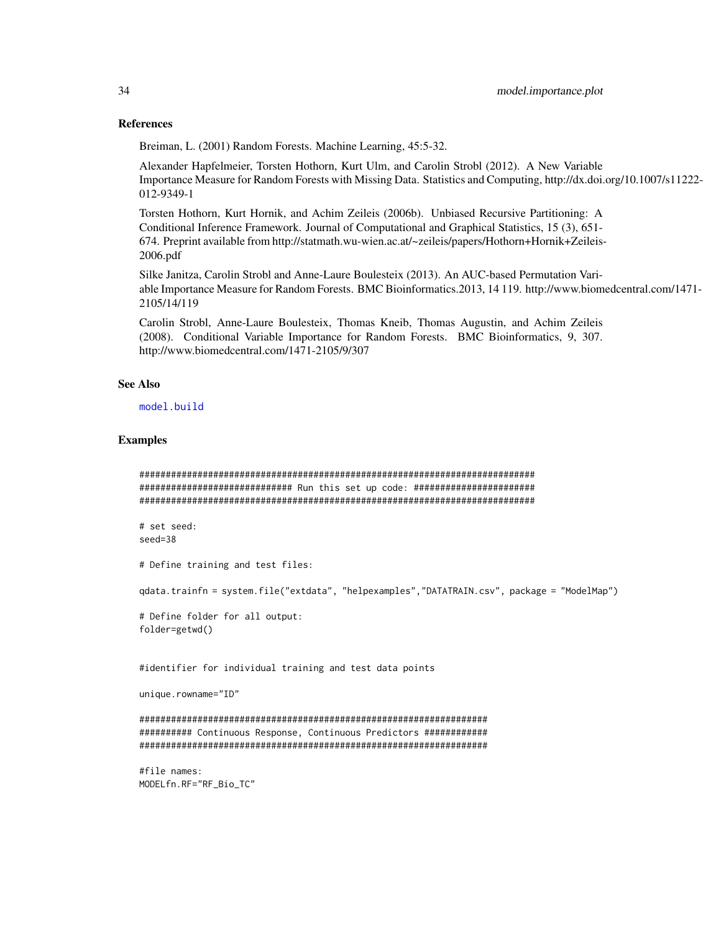#### References

Breiman, L. (2001) Random Forests. Machine Learning, 45:5-32.

Alexander Hapfelmeier, Torsten Hothorn, Kurt Ulm, and Carolin Strobl (2012). A New Variable Importance Measure for Random Forests with Missing Data. Statistics and Computing, http://dx.doi.org/10.1007/s11222- 012-9349-1

Torsten Hothorn, Kurt Hornik, and Achim Zeileis (2006b). Unbiased Recursive Partitioning: A Conditional Inference Framework. Journal of Computational and Graphical Statistics, 15 (3), 651- 674. Preprint available from http://statmath.wu-wien.ac.at/~zeileis/papers/Hothorn+Hornik+Zeileis-2006.pdf

Silke Janitza, Carolin Strobl and Anne-Laure Boulesteix (2013). An AUC-based Permutation Variable Importance Measure for Random Forests. BMC Bioinformatics.2013, 14 119. http://www.biomedcentral.com/1471- 2105/14/119

Carolin Strobl, Anne-Laure Boulesteix, Thomas Kneib, Thomas Augustin, and Achim Zeileis (2008). Conditional Variable Importance for Random Forests. BMC Bioinformatics, 9, 307. http://www.biomedcentral.com/1471-2105/9/307

#### See Also

[model.build](#page-7-1)

#### Examples

```
###########################################################################
############################# Run this set up code: #######################
###########################################################################
```
# set seed: seed=38

# Define training and test files:

qdata.trainfn = system.file("extdata", "helpexamples","DATATRAIN.csv", package = "ModelMap")

# Define folder for all output: folder=getwd()

#identifier for individual training and test data points

```
unique.rowname="ID"
```
################################################################## ########## Continuous Response, Continuous Predictors ############ ##################################################################

#file names: MODELfn.RF="RF\_Bio\_TC"

<span id="page-33-0"></span>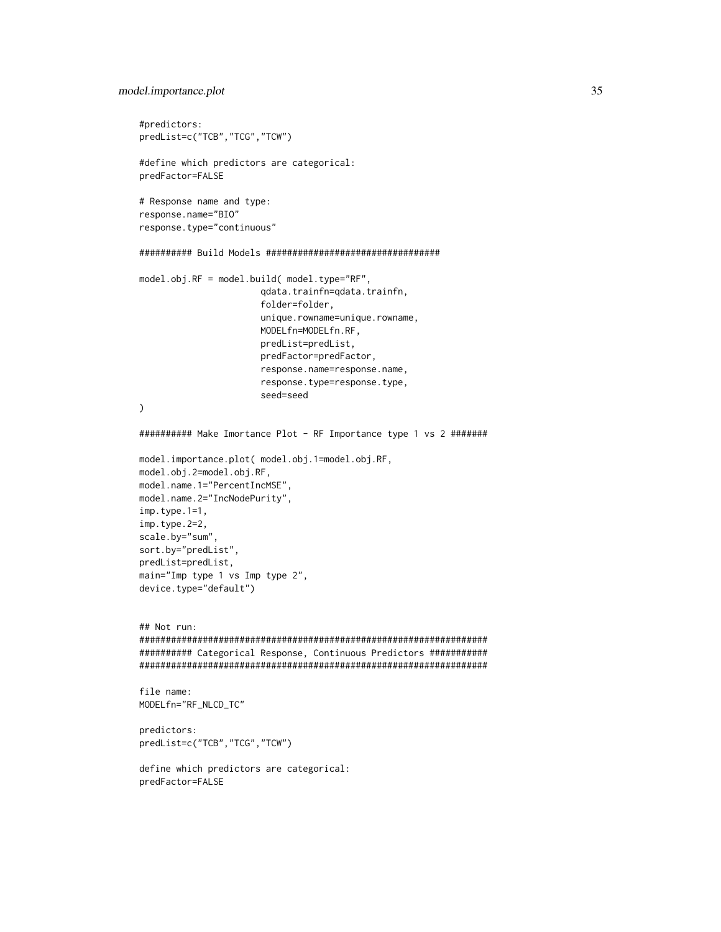### model.importance.plot 35

```
#predictors:
predList=c("TCB","TCG","TCW")
#define which predictors are categorical:
predFactor=FALSE
# Response name and type:
response.name="BIO"
response.type="continuous"
########## Build Models #################################
model.obj.RF = model.build( model.type="RF",
                       qdata.trainfn=qdata.trainfn,
                       folder=folder,
                       unique.rowname=unique.rowname,
                       MODELfn=MODELfn.RF,
                       predList=predList,
                       predFactor=predFactor,
                       response.name=response.name,
                       response.type=response.type,
                       seed=seed
\mathcal{L}########## Make Imortance Plot - RF Importance type 1 vs 2 #######
model.importance.plot( model.obj.1=model.obj.RF,
model.obj.2=model.obj.RF,
model.name.1="PercentIncMSE",
model.name.2="IncNodePurity",
imp.type.1=1,
imp.type.2=2,
scale.by="sum",
sort.by="predList",
predList=predList,
main="Imp type 1 vs Imp type 2",
device.type="default")
## Not run:
##################################################################
########## Categorical Response, Continuous Predictors ###########
##################################################################
file name:
MODELfn="RF_NLCD_TC"
predictors:
predList=c("TCB","TCG","TCW")
define which predictors are categorical:
predFactor=FALSE
```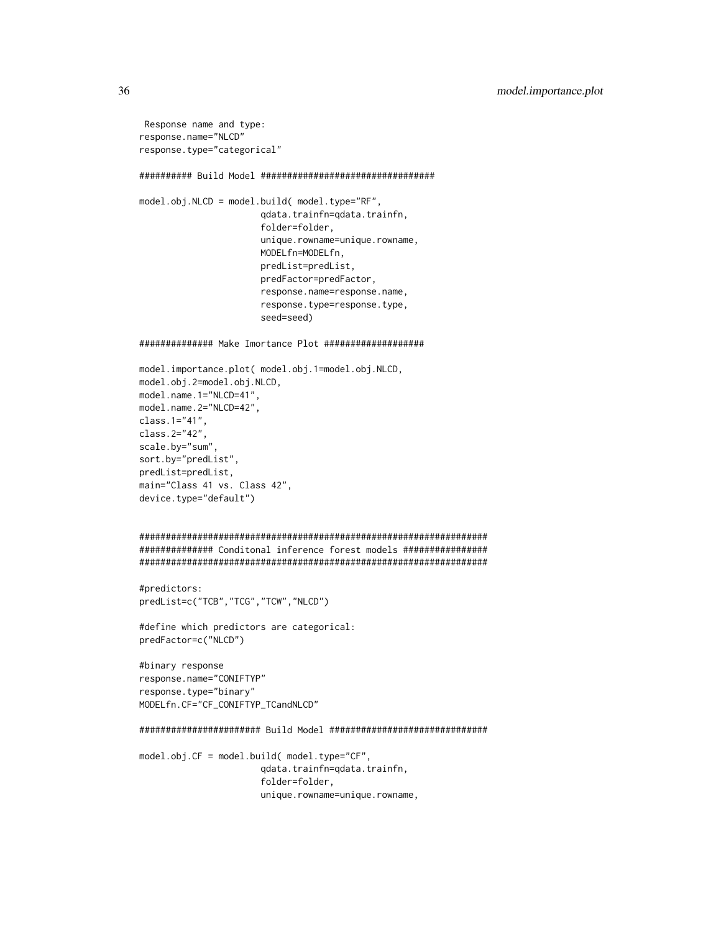```
Response name and type:
response.name="NLCD"
response.type="categorical"
########## Build Model #################################
model.obj.NLCD = model.build( model.type="RF",
                       qdata.trainfn=qdata.trainfn,
                       folder=folder,
                       unique.rowname=unique.rowname,
                       MODELfn=MODELfn,
                       predList=predList,
                       predFactor=predFactor,
                       response.name=response.name,
                       response.type=response.type,
                       seed=seed)
############## Make Imortance Plot ###################
model.importance.plot( model.obj.1=model.obj.NLCD,
model.obj.2=model.obj.NLCD,
model.name.1="NLCD=41",
model.name.2="NLCD=42",
class.1="41",
class.2="42",
scale.by="sum",
sort.by="predList",
predList=predList,
main="Class 41 vs. Class 42",
device.type="default")
##################################################################
############## Conditonal inference forest models ################
##################################################################
#predictors:
predList=c("TCB","TCG","TCW","NLCD")
#define which predictors are categorical:
predFactor=c("NLCD")
#binary response
response.name="CONIFTYP"
response.type="binary"
MODELfn.CF="CF_CONIFTYP_TCandNLCD"
####################### Build Model ##############################
model.obj.CF = model.build( model.type="CF",
                       qdata.trainfn=qdata.trainfn,
                       folder=folder,
                       unique.rowname=unique.rowname,
```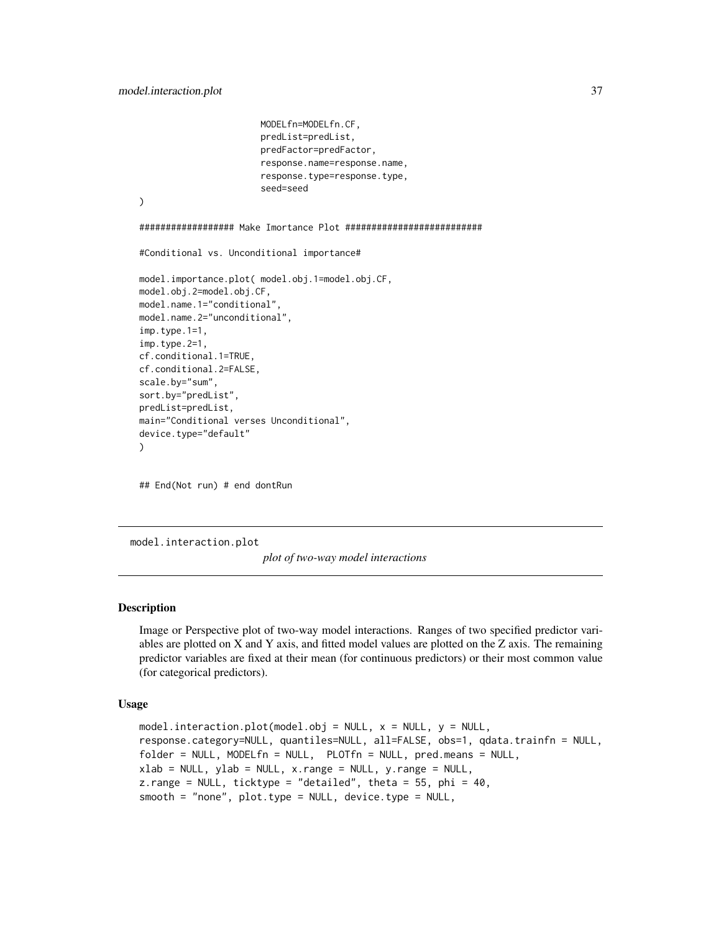```
MODELfn=MODELfn.CF,
                       predList=predList,
                       predFactor=predFactor,
                       response.name=response.name,
                       response.type=response.type,
                       seed=seed
)
################## Make Imortance Plot ##########################
#Conditional vs. Unconditional importance#
model.importance.plot( model.obj.1=model.obj.CF,
model.obj.2=model.obj.CF,
model.name.1="conditional",
model.name.2="unconditional",
imp.type.1=1,
imp.type.2=1,
cf.conditional.1=TRUE,
cf.conditional.2=FALSE,
scale.by="sum",
sort.by="predList",
predList=predList,
main="Conditional verses Unconditional",
device.type="default"
)
```
## End(Not run) # end dontRun

<span id="page-36-1"></span>model.interaction.plot

*plot of two-way model interactions*

# Description

Image or Perspective plot of two-way model interactions. Ranges of two specified predictor variables are plotted on X and Y axis, and fitted model values are plotted on the Z axis. The remaining predictor variables are fixed at their mean (for continuous predictors) or their most common value (for categorical predictors).

#### Usage

```
model.interaction.plot(model.obj = NULL, x = NULL, y = NULL,
response.category=NULL, quantiles=NULL, all=FALSE, obs=1, qdata.trainfn = NULL,
folder = NULL, MODELfn = NULL, PLOTfn = NULL, pred.means = NULL,
xlab = NULL, ylab = NULL, x.random = NULL, y.random = NULL,
z.range = NULL, ticktype = "detailed", theta = 55, phi = 40,
smooth = "none", plot.type = NULL, device.type = NULL,
```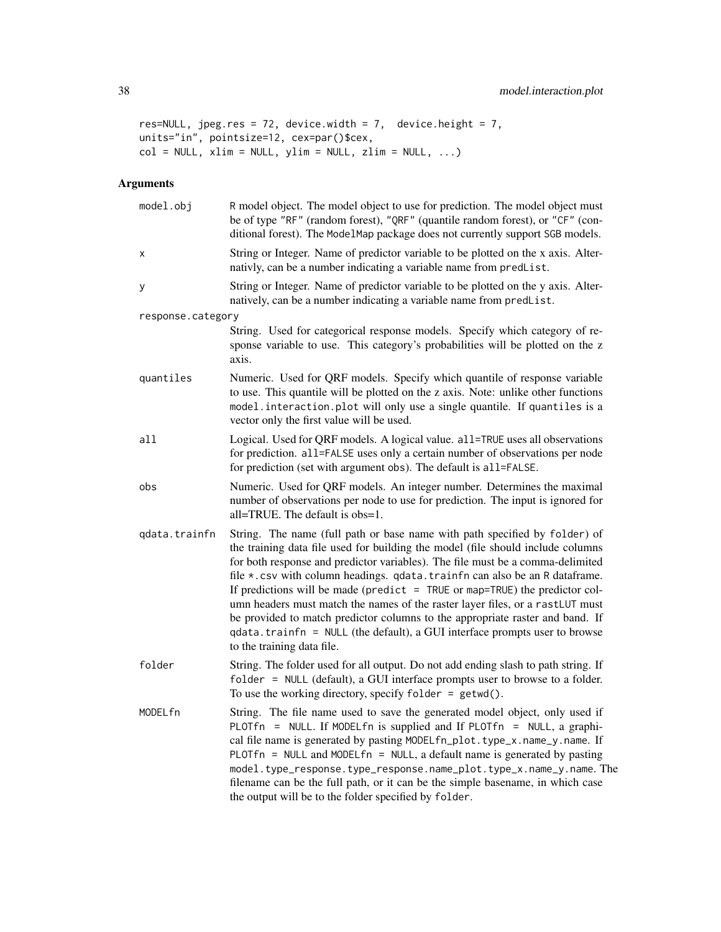```
res=NULL, jpeg.res = 72, device.width = 7, device.height = 7,
units="in", pointsize=12, cex=par()$cex,
col = NULL, xlim = NULL, ylim = NULL, zlim = NULL, ...
```
# Arguments

| model.obj         | R model object. The model object to use for prediction. The model object must<br>be of type "RF" (random forest), "QRF" (quantile random forest), or "CF" (con-<br>ditional forest). The ModelMap package does not currently support SGB models.                                                                                                                                                                                                                                                                                                                                                                                                                                             |
|-------------------|----------------------------------------------------------------------------------------------------------------------------------------------------------------------------------------------------------------------------------------------------------------------------------------------------------------------------------------------------------------------------------------------------------------------------------------------------------------------------------------------------------------------------------------------------------------------------------------------------------------------------------------------------------------------------------------------|
| x                 | String or Integer. Name of predictor variable to be plotted on the x axis. Alter-<br>nativly, can be a number indicating a variable name from predlist.                                                                                                                                                                                                                                                                                                                                                                                                                                                                                                                                      |
| у                 | String or Integer. Name of predictor variable to be plotted on the y axis. Alter-<br>natively, can be a number indicating a variable name from predlist.                                                                                                                                                                                                                                                                                                                                                                                                                                                                                                                                     |
| response.category |                                                                                                                                                                                                                                                                                                                                                                                                                                                                                                                                                                                                                                                                                              |
|                   | String. Used for categorical response models. Specify which category of re-<br>sponse variable to use. This category's probabilities will be plotted on the z<br>axis.                                                                                                                                                                                                                                                                                                                                                                                                                                                                                                                       |
| quantiles         | Numeric. Used for QRF models. Specify which quantile of response variable<br>to use. This quantile will be plotted on the z axis. Note: unlike other functions<br>model.interaction.plot will only use a single quantile. If quantiles is a<br>vector only the first value will be used.                                                                                                                                                                                                                                                                                                                                                                                                     |
| all               | Logical. Used for QRF models. A logical value. all=TRUE uses all observations<br>for prediction. all=FALSE uses only a certain number of observations per node<br>for prediction (set with argument obs). The default is all=FALSE.                                                                                                                                                                                                                                                                                                                                                                                                                                                          |
| obs               | Numeric. Used for QRF models. An integer number. Determines the maximal<br>number of observations per node to use for prediction. The input is ignored for<br>all=TRUE. The default is obs=1.                                                                                                                                                                                                                                                                                                                                                                                                                                                                                                |
| qdata.trainfn     | String. The name (full path or base name with path specified by folder) of<br>the training data file used for building the model (file should include columns<br>for both response and predictor variables). The file must be a comma-delimited<br>file *.csv with column headings. qdata.trainfn can also be an R dataframe.<br>If predictions will be made (predict $=$ TRUE or map=TRUE) the predictor col-<br>umn headers must match the names of the raster layer files, or a rastLUT must<br>be provided to match predictor columns to the appropriate raster and band. If<br>qdata.trainfn = NULL (the default), a GUI interface prompts user to browse<br>to the training data file. |
| folder            | String. The folder used for all output. Do not add ending slash to path string. If<br>folder = NULL (default), a GUI interface prompts user to browse to a folder.<br>To use the working directory, specify folder = $getwd()$ .                                                                                                                                                                                                                                                                                                                                                                                                                                                             |
| MODELfn           | String. The file name used to save the generated model object, only used if<br>PLOTfn = NULL. If MODELfn is supplied and If PLOTfn = NULL, a graphi-<br>cal file name is generated by pasting MODELfn_plot.type_x.name_y.name. If<br>PLOTfn = NULL and MODELfn = NULL, a default name is generated by pasting<br>model.type_response.type_response.name_plot.type_x.name_y.name. The<br>filename can be the full path, or it can be the simple basename, in which case<br>the output will be to the folder specified by folder.                                                                                                                                                              |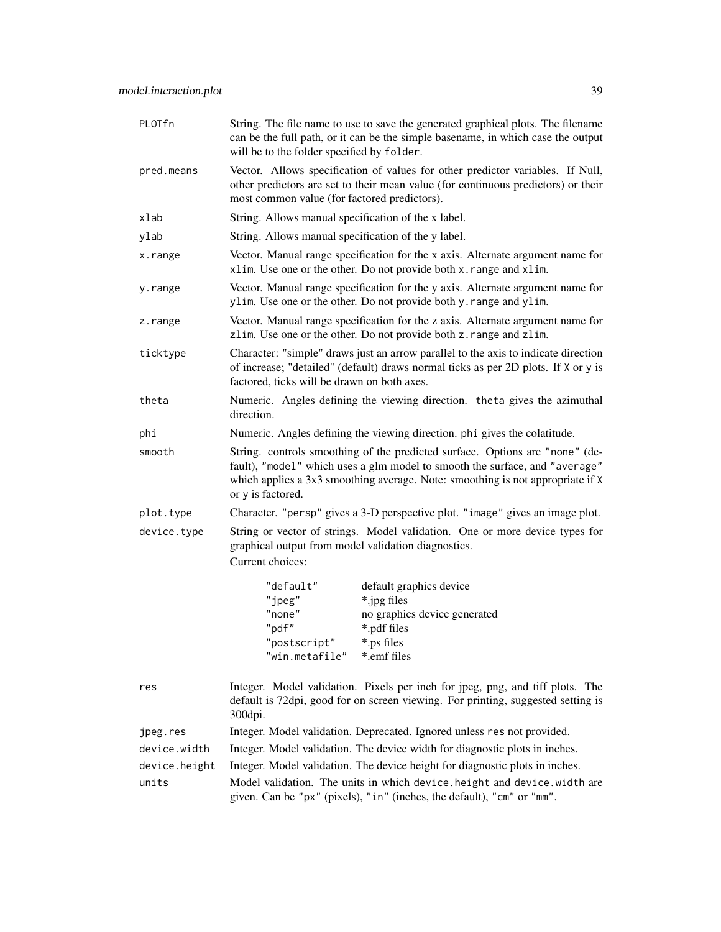| PLOTfn        | String. The file name to use to save the generated graphical plots. The filename<br>can be the full path, or it can be the simple basename, in which case the output<br>will be to the folder specified by folder.                                                 |
|---------------|--------------------------------------------------------------------------------------------------------------------------------------------------------------------------------------------------------------------------------------------------------------------|
| pred.means    | Vector. Allows specification of values for other predictor variables. If Null,<br>other predictors are set to their mean value (for continuous predictors) or their<br>most common value (for factored predictors).                                                |
| xlab          | String. Allows manual specification of the x label.                                                                                                                                                                                                                |
| ylab          | String. Allows manual specification of the y label.                                                                                                                                                                                                                |
| x.range       | Vector. Manual range specification for the x axis. Alternate argument name for<br>xlim. Use one or the other. Do not provide both x. range and xlim.                                                                                                               |
| y.range       | Vector. Manual range specification for the y axis. Alternate argument name for<br>ylim. Use one or the other. Do not provide both y. range and ylim.                                                                                                               |
| z.range       | Vector. Manual range specification for the z axis. Alternate argument name for<br>zlim. Use one or the other. Do not provide both z. range and zlim.                                                                                                               |
| ticktype      | Character: "simple" draws just an arrow parallel to the axis to indicate direction<br>of increase; "detailed" (default) draws normal ticks as per 2D plots. If X or y is<br>factored, ticks will be drawn on both axes.                                            |
| theta         | Numeric. Angles defining the viewing direction. theta gives the azimuthal<br>direction.                                                                                                                                                                            |
| phi           | Numeric. Angles defining the viewing direction. phi gives the colatitude.                                                                                                                                                                                          |
| smooth        | String. controls smoothing of the predicted surface. Options are "none" (de-<br>fault), "model" which uses a glm model to smooth the surface, and "average"<br>which applies a 3x3 smoothing average. Note: smoothing is not appropriate if X<br>or y is factored. |
| plot.type     | Character. "persp" gives a 3-D perspective plot. "image" gives an image plot.                                                                                                                                                                                      |
| device.type   | String or vector of strings. Model validation. One or more device types for<br>graphical output from model validation diagnostics.<br>Current choices:                                                                                                             |
|               | "default"<br>default graphics device<br>*.jpg files<br>"jpeg"<br>"none"<br>no graphics device generated<br>"pdf"<br>*.pdf files<br>"postscript"<br>*.ps files<br>"win.metafile"<br>*.emf files                                                                     |
| res           | Integer. Model validation. Pixels per inch for jpeg, png, and tiff plots. The<br>default is 72dpi, good for on screen viewing. For printing, suggested setting is<br>300dpi.                                                                                       |
| jpeg.res      | Integer. Model validation. Deprecated. Ignored unless res not provided.                                                                                                                                                                                            |
| device.width  | Integer. Model validation. The device width for diagnostic plots in inches.                                                                                                                                                                                        |
| device.height | Integer. Model validation. The device height for diagnostic plots in inches.                                                                                                                                                                                       |
| units         | Model validation. The units in which device. height and device. width are<br>given. Can be "px" (pixels), "in" (inches, the default), "cm" or "mm".                                                                                                                |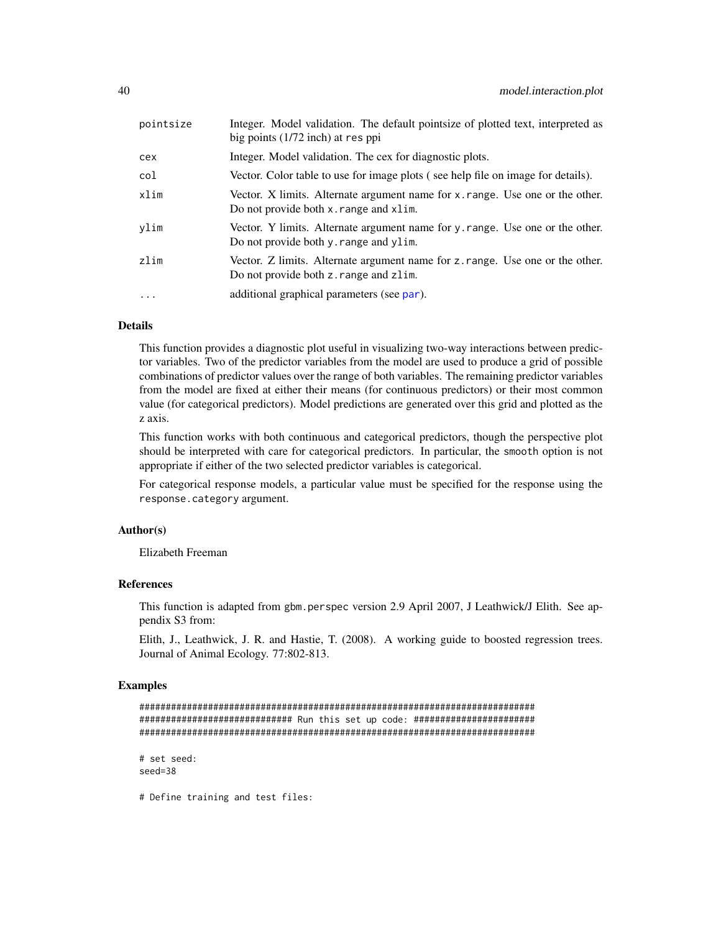<span id="page-39-0"></span>

| pointsize  | Integer. Model validation. The default point size of plotted text, interpreted as<br>big points $(1/72$ inch) at res ppi   |
|------------|----------------------------------------------------------------------------------------------------------------------------|
| cex        | Integer. Model validation. The cex for diagnostic plots.                                                                   |
| col        | Vector. Color table to use for image plots (see help file on image for details).                                           |
| xlim       | Vector. X limits. Alternate argument name for x. range. Use one or the other.<br>Do not provide both x. range and xlim.    |
| ylim       | Vector. Y limits. Alternate argument name for y range. Use one or the other.<br>Do not provide both y. range and ylim.     |
| zlim       | Vector. Z limits. Alternate argument name for $z$ , range. Use one or the other.<br>Do not provide both z. range and zlim. |
| $\ddots$ . | additional graphical parameters (see par).                                                                                 |
|            |                                                                                                                            |

#### Details

This function provides a diagnostic plot useful in visualizing two-way interactions between predictor variables. Two of the predictor variables from the model are used to produce a grid of possible combinations of predictor values over the range of both variables. The remaining predictor variables from the model are fixed at either their means (for continuous predictors) or their most common value (for categorical predictors). Model predictions are generated over this grid and plotted as the z axis.

This function works with both continuous and categorical predictors, though the perspective plot should be interpreted with care for categorical predictors. In particular, the smooth option is not appropriate if either of the two selected predictor variables is categorical.

For categorical response models, a particular value must be specified for the response using the response.category argument.

#### Author(s)

Elizabeth Freeman

#### References

This function is adapted from gbm.perspec version 2.9 April 2007, J Leathwick/J Elith. See appendix S3 from:

Elith, J., Leathwick, J. R. and Hastie, T. (2008). A working guide to boosted regression trees. Journal of Animal Ecology. 77:802-813.

#### Examples

```
###########################################################################
############################# Run this set up code: #######################
###########################################################################
# set seed:
seed=38
```
# Define training and test files: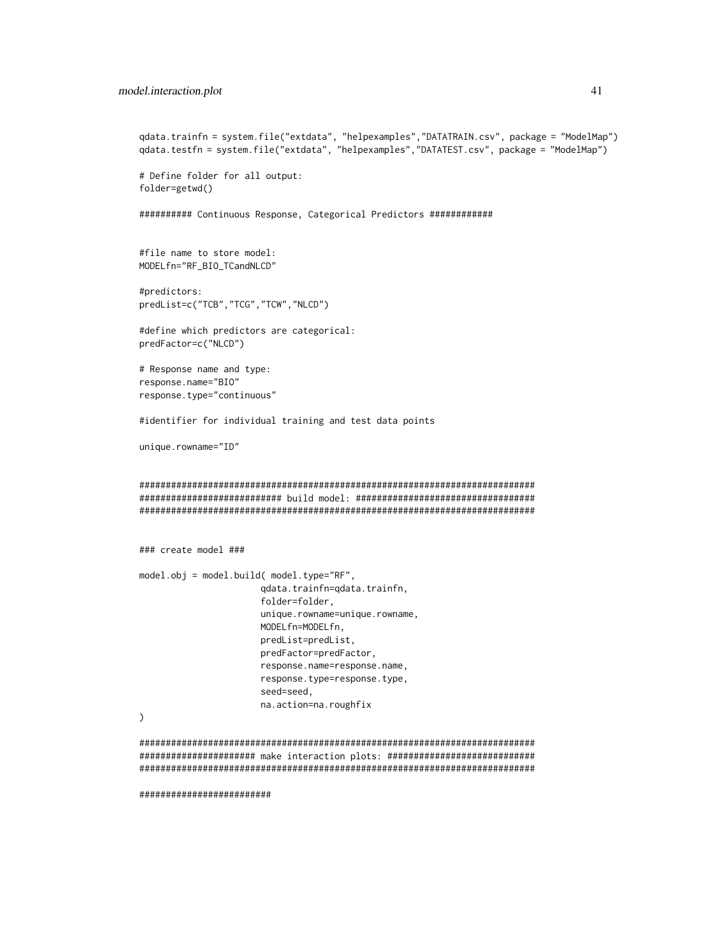#### model.interaction.plot 41

```
qdata.trainfn = system.file("extdata", "helpexamples","DATATRAIN.csv", package = "ModelMap")
qdata.testfn = system.file("extdata", "helpexamples","DATATEST.csv", package = "ModelMap")
# Define folder for all output:
folder=getwd()
########## Continuous Response, Categorical Predictors ############
#file name to store model:
MODELfn="RF_BIO_TCandNLCD"
#predictors:
predList=c("TCB","TCG","TCW","NLCD")
#define which predictors are categorical:
predFactor=c("NLCD")
# Response name and type:
response.name="BIO"
response.type="continuous"
#identifier for individual training and test data points
unique.rowname="ID"
###########################################################################
########################### build model: ##################################
###########################################################################
### create model ###
model.obj = model.build( model.type="RF",
                       qdata.trainfn=qdata.trainfn,
                       folder=folder,
                       unique.rowname=unique.rowname,
                       MODELfn=MODELfn,
                       predList=predList,
                       predFactor=predFactor,
                       response.name=response.name,
                       response.type=response.type,
                       seed=seed,
                       na.action=na.roughfix
)
###########################################################################
###################### make interaction plots: ############################
###########################################################################
```
#########################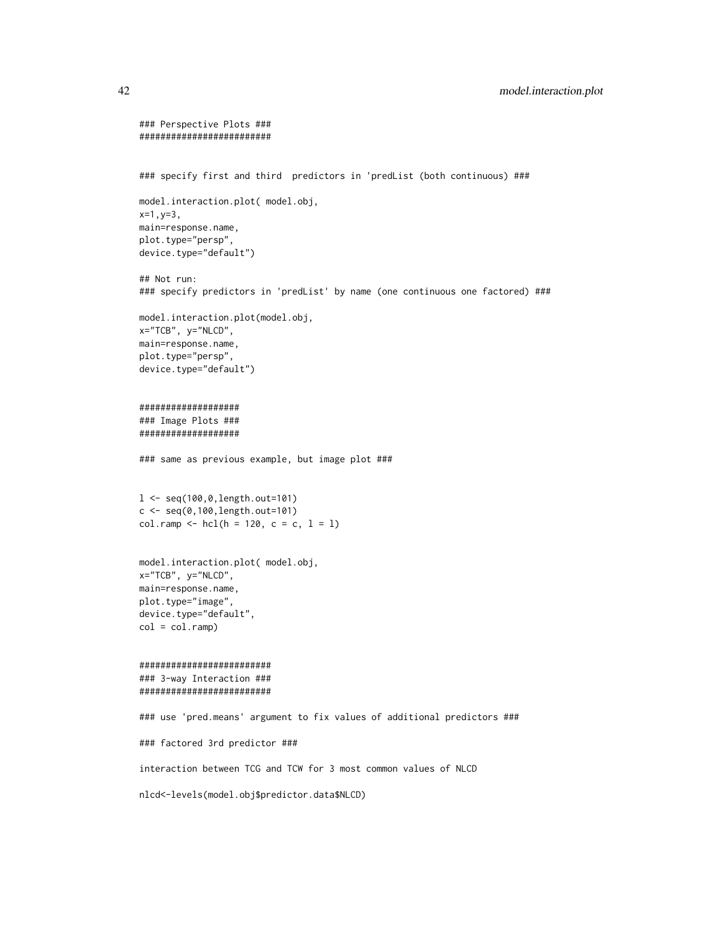```
### Perspective Plots ###
#########################
### specify first and third predictors in 'predList (both continuous) ###
model.interaction.plot( model.obj,
x=1,y=3,
main=response.name,
plot.type="persp",
device.type="default")
## Not run:
### specify predictors in 'predList' by name (one continuous one factored) ###
model.interaction.plot(model.obj,
x="TCB", y="NLCD",
main=response.name,
plot.type="persp",
device.type="default")
###################
### Image Plots ###
###################
### same as previous example, but image plot ###
l <- seq(100,0,length.out=101)
c < - seq(0,100, length.out=101)
col.random < - hcl(h = 120, c = c, l = l)model.interaction.plot( model.obj,
x="TCB", y="NLCD",
main=response.name,
plot.type="image",
device.type="default",
col = col.random#########################
### 3-way Interaction ###
#########################
### use 'pred.means' argument to fix values of additional predictors ###
### factored 3rd predictor ###
interaction between TCG and TCW for 3 most common values of NLCD
nlcd<-levels(model.obj$predictor.data$NLCD)
```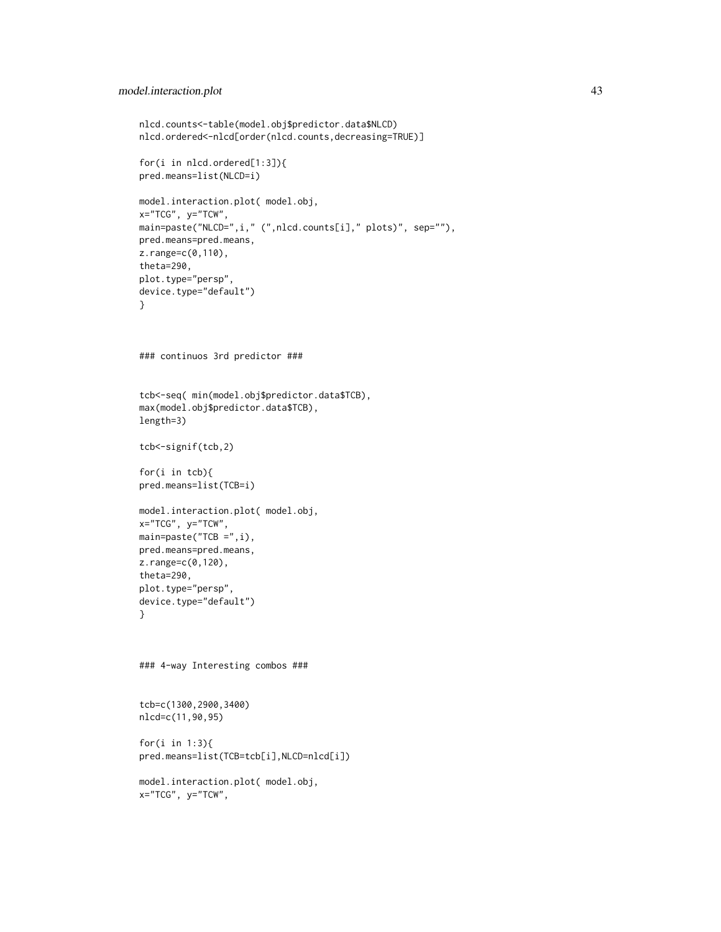```
nlcd.counts<-table(model.obj$predictor.data$NLCD)
nlcd.ordered<-nlcd[order(nlcd.counts,decreasing=TRUE)]
for(i in nlcd.ordered[1:3]){
pred.means=list(NLCD=i)
model.interaction.plot( model.obj,
x="TCG", y="TCW",
main=paste("NLCD=",i," (",nlcd.counts[i]," plots)", sep=""),
pred.means=pred.means,
z.range=c(0,110),
theta=290,
plot.type="persp",
device.type="default")
}
### continuos 3rd predictor ###
tcb<-seq( min(model.obj$predictor.data$TCB),
max(model.obj$predictor.data$TCB),
length=3)
tcb<-signif(tcb,2)
for(i in tcb){
pred.means=list(TCB=i)
model.interaction.plot( model.obj,
x="TCG", y="TCW",
main=paste("TCB =",i),
pred.means=pred.means,
z.range=c(0,120),
theta=290,
plot.type="persp",
device.type="default")
}
### 4-way Interesting combos ###
tcb=c(1300,2900,3400)
nlcd=c(11,90,95)
for(i in 1:3){
pred.means=list(TCB=tcb[i],NLCD=nlcd[i])
model.interaction.plot( model.obj,
x="TCG", y="TCW",
```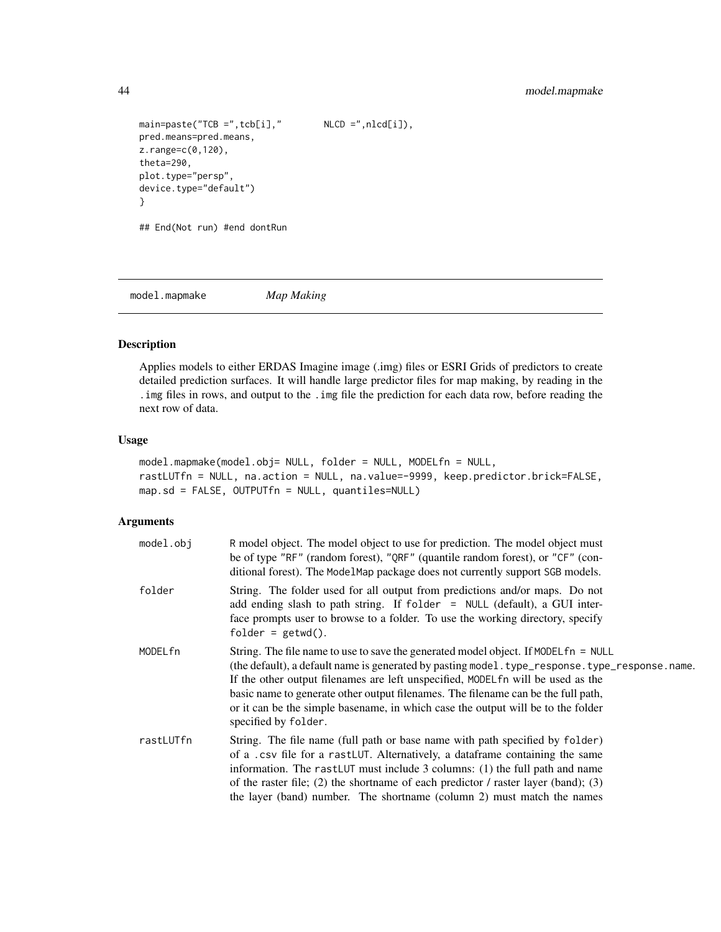```
main=paste("TCB =",tcb[i]," NLCD =",nlcd[i]),
pred.means=pred.means,
z.range=c(0,120),
theta=290,
plot.type="persp",
device.type="default")
}
## End(Not run) #end dontRun
```
<span id="page-43-1"></span>model.mapmake *Map Making*

# Description

Applies models to either ERDAS Imagine image (.img) files or ESRI Grids of predictors to create detailed prediction surfaces. It will handle large predictor files for map making, by reading in the .img files in rows, and output to the .img file the prediction for each data row, before reading the next row of data.

#### Usage

```
model.mapmake(model.obj= NULL, folder = NULL, MODELfn = NULL,
rastLUTfn = NULL, na.action = NULL, na.value=-9999, keep.predictor.brick=FALSE,
map.sd = FALSE, OUTPUTfn = NULL, quantiles=NULL)
```
#### Arguments

| model.obj | R model object. The model object to use for prediction. The model object must<br>be of type "RF" (random forest), "QRF" (quantile random forest), or "CF" (con-<br>ditional forest). The ModelMap package does not currently support SGB models.                                                                                                                                                                                                                             |
|-----------|------------------------------------------------------------------------------------------------------------------------------------------------------------------------------------------------------------------------------------------------------------------------------------------------------------------------------------------------------------------------------------------------------------------------------------------------------------------------------|
| folder    | String. The folder used for all output from predictions and/or maps. Do not<br>add ending slash to path string. If folder = NULL (default), a GUI inter-<br>face prompts user to browse to a folder. To use the working directory, specify<br>$folder = getwd()$ .                                                                                                                                                                                                           |
| MODELfn   | String. The file name to use to save the generated model object. If MODEL fn = NULL<br>(the default), a default name is generated by pasting model. type_response. type_response. name.<br>If the other output filenames are left unspecified, MODEL fn will be used as the<br>basic name to generate other output filenames. The filename can be the full path,<br>or it can be the simple basename, in which case the output will be to the folder<br>specified by folder. |
| rastLUTfn | String. The file name (full path or base name with path specified by folder)<br>of a .csv file for a rastLUT. Alternatively, a dataframe containing the same<br>information. The rast LUT must include 3 columns: (1) the full path and name<br>of the raster file; (2) the shortname of each predictor $\ell$ raster layer (band); (3)<br>the layer (band) number. The shortname (column 2) must match the names                                                            |

<span id="page-43-0"></span>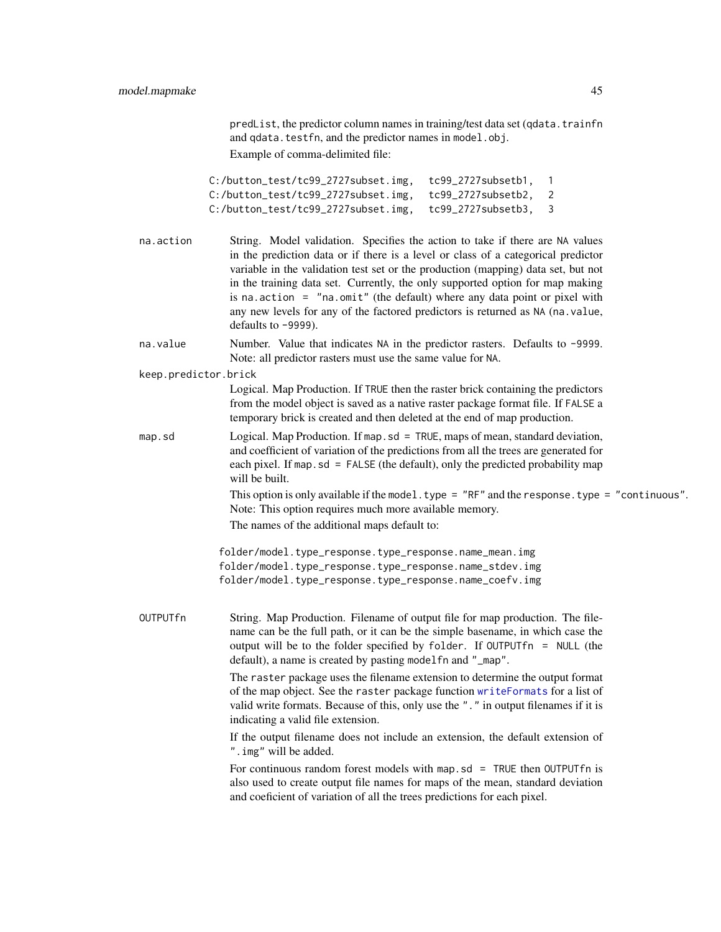<span id="page-44-0"></span>predList, the predictor column names in training/test data set (qdata.trainfn and qdata.testfn, and the predictor names in model.obj. Example of comma-delimited file:

C:/button\_test/tc99\_2727subset.img, tc99\_2727subsetb1, 1 C:/button\_test/tc99\_2727subset.img, tc99\_2727subsetb2, 2 C:/button\_test/tc99\_2727subset.img, tc99\_2727subsetb3, 3

- na.action String. Model validation. Specifies the action to take if there are NA values in the prediction data or if there is a level or class of a categorical predictor variable in the validation test set or the production (mapping) data set, but not in the training data set. Currently, the only supported option for map making is na.action  $=$  "na.omit" (the default) where any data point or pixel with any new levels for any of the factored predictors is returned as NA (na.value, defaults to -9999).
- na.value Number. Value that indicates NA in the predictor rasters. Defaults to -9999. Note: all predictor rasters must use the same value for NA.

keep.predictor.brick

Logical. Map Production. If TRUE then the raster brick containing the predictors from the model object is saved as a native raster package format file. If FALSE a temporary brick is created and then deleted at the end of map production.

map.sd Logical. Map Production. If map.sd = TRUE, maps of mean, standard deviation, and coefficient of variation of the predictions from all the trees are generated for each pixel. If map. sd = FALSE (the default), only the predicted probability map will be built.

> This option is only available if the model.type = "RF" and the response.type = "continuous". Note: This option requires much more available memory.

The names of the additional maps default to:

folder/model.type\_response.type\_response.name\_mean.img folder/model.type\_response.type\_response.name\_stdev.img folder/model.type\_response.type\_response.name\_coefv.img

OUTPUTfn String. Map Production. Filename of output file for map production. The filename can be the full path, or it can be the simple basename, in which case the output will be to the folder specified by folder. If OUTPUTfn = NULL (the default), a name is created by pasting modelfn and "\_map".

> The raster package uses the filename extension to determine the output format of the map object. See the raster package function [writeFormats](#page-0-0) for a list of valid write formats. Because of this, only use the "." in output filenames if it is indicating a valid file extension.

> If the output filename does not include an extension, the default extension of ".img" will be added.

> For continuous random forest models with map.sd = TRUE then OUTPUT fn is also used to create output file names for maps of the mean, standard deviation and coeficient of variation of all the trees predictions for each pixel.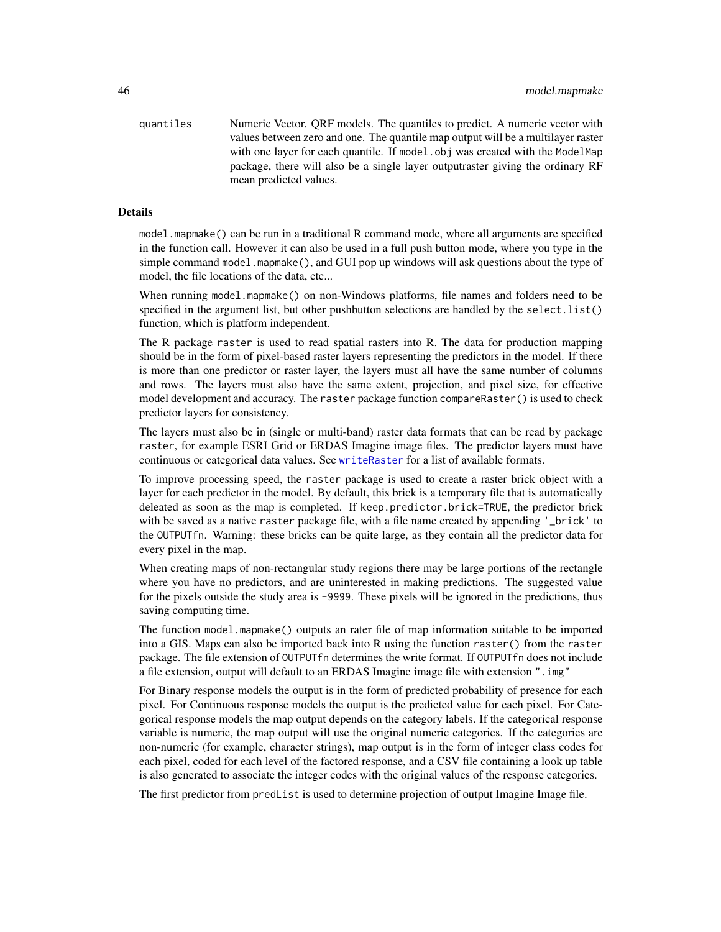<span id="page-45-0"></span>quantiles Numeric Vector. QRF models. The quantiles to predict. A numeric vector with values between zero and one. The quantile map output will be a multilayer raster with one layer for each quantile. If model.obj was created with the ModelMap package, there will also be a single layer outputraster giving the ordinary RF mean predicted values.

#### Details

model.mapmake() can be run in a traditional R command mode, where all arguments are specified in the function call. However it can also be used in a full push button mode, where you type in the simple command model.mapmake(), and GUI pop up windows will ask questions about the type of model, the file locations of the data, etc...

When running model.mapmake() on non-Windows platforms, file names and folders need to be specified in the argument list, but other pushbutton selections are handled by the select.list() function, which is platform independent.

The R package raster is used to read spatial rasters into R. The data for production mapping should be in the form of pixel-based raster layers representing the predictors in the model. If there is more than one predictor or raster layer, the layers must all have the same number of columns and rows. The layers must also have the same extent, projection, and pixel size, for effective model development and accuracy. The raster package function compareRaster() is used to check predictor layers for consistency.

The layers must also be in (single or multi-band) raster data formats that can be read by package raster, for example ESRI Grid or ERDAS Imagine image files. The predictor layers must have continuous or categorical data values. See [writeRaster](#page-0-0) for a list of available formats.

To improve processing speed, the raster package is used to create a raster brick object with a layer for each predictor in the model. By default, this brick is a temporary file that is automatically deleated as soon as the map is completed. If keep.predictor.brick=TRUE, the predictor brick with be saved as a native raster package file, with a file name created by appending '\_brick' to the OUTPUTfn. Warning: these bricks can be quite large, as they contain all the predictor data for every pixel in the map.

When creating maps of non-rectangular study regions there may be large portions of the rectangle where you have no predictors, and are uninterested in making predictions. The suggested value for the pixels outside the study area is -9999. These pixels will be ignored in the predictions, thus saving computing time.

The function model.mapmake() outputs an rater file of map information suitable to be imported into a GIS. Maps can also be imported back into R using the function raster() from the raster package. The file extension of OUTPUTfn determines the write format. If OUTPUTfn does not include a file extension, output will default to an ERDAS Imagine image file with extension ".img"

For Binary response models the output is in the form of predicted probability of presence for each pixel. For Continuous response models the output is the predicted value for each pixel. For Categorical response models the map output depends on the category labels. If the categorical response variable is numeric, the map output will use the original numeric categories. If the categories are non-numeric (for example, character strings), map output is in the form of integer class codes for each pixel, coded for each level of the factored response, and a CSV file containing a look up table is also generated to associate the integer codes with the original values of the response categories.

The first predictor from predList is used to determine projection of output Imagine Image file.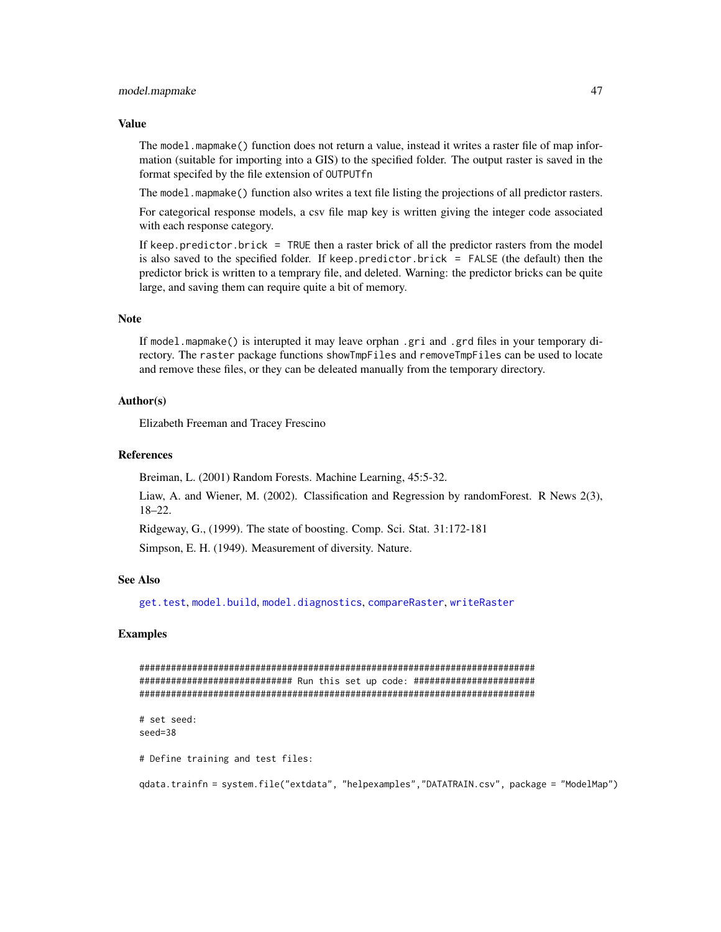#### <span id="page-46-0"></span>model.mapmake 47

#### Value

The model.mapmake() function does not return a value, instead it writes a raster file of map information (suitable for importing into a GIS) to the specified folder. The output raster is saved in the format specifed by the file extension of OUTPUTfn

The model.mapmake() function also writes a text file listing the projections of all predictor rasters.

For categorical response models, a csv file map key is written giving the integer code associated with each response category.

If keep.predictor.brick = TRUE then a raster brick of all the predictor rasters from the model is also saved to the specified folder. If keep.predictor.brick =  $FALSE$  (the default) then the predictor brick is written to a temprary file, and deleted. Warning: the predictor bricks can be quite large, and saving them can require quite a bit of memory.

#### Note

If model.mapmake() is interupted it may leave orphan .gri and .grd files in your temporary directory. The raster package functions showTmpFiles and removeTmpFiles can be used to locate and remove these files, or they can be deleated manually from the temporary directory.

#### Author(s)

Elizabeth Freeman and Tracey Frescino

# References

Breiman, L. (2001) Random Forests. Machine Learning, 45:5-32.

Liaw, A. and Wiener, M. (2002). Classification and Regression by randomForest. R News 2(3), 18–22.

Ridgeway, G., (1999). The state of boosting. Comp. Sci. Stat. 31:172-181

Simpson, E. H. (1949). Measurement of diversity. Nature.

# See Also

[get.test](#page-5-1), [model.build](#page-7-1), [model.diagnostics](#page-14-1), [compareRaster](#page-0-0), [writeRaster](#page-0-0)

# Examples

########################################################################### ############################# Run this set up code: ####################### ########################################################################### # set seed: seed=38

# Define training and test files:

qdata.trainfn = system.file("extdata", "helpexamples","DATATRAIN.csv", package = "ModelMap")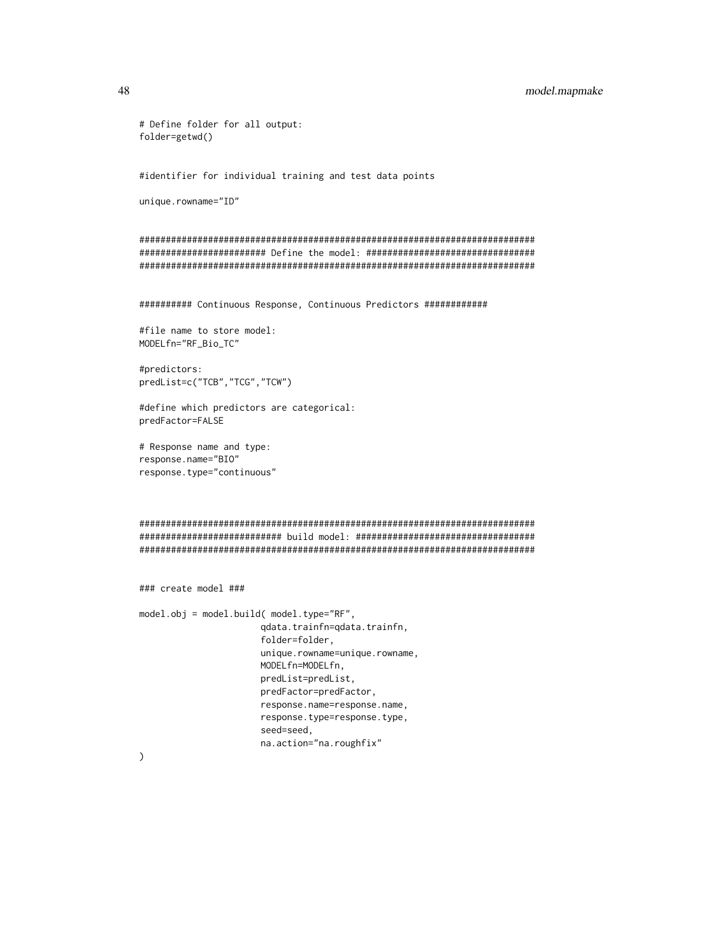```
#identifier for individual training and test data points
unique.rowname="ID"
###########################################################################
######################## Define the model: ################################
###########################################################################
########## Continuous Response, Continuous Predictors ############
#file name to store model:
MODELfn="RF_Bio_TC"
#predictors:
predList=c("TCB","TCG","TCW")
#define which predictors are categorical:
predFactor=FALSE
# Response name and type:
response.name="BIO"
response.type="continuous"
###########################################################################
########################### build model: ##################################
###########################################################################
### create model ###
model.obj = model.build( model.type="RF",
                       qdata.trainfn=qdata.trainfn,
                       folder=folder,
                       unique.rowname=unique.rowname,
                       MODELfn=MODELfn,
                       predList=predList,
                       predFactor=predFactor,
                       response.name=response.name,
                       response.type=response.type,
                       seed=seed,
```
na.action="na.roughfix"

 $\mathcal{L}$ 

# Define folder for all output:

folder=getwd()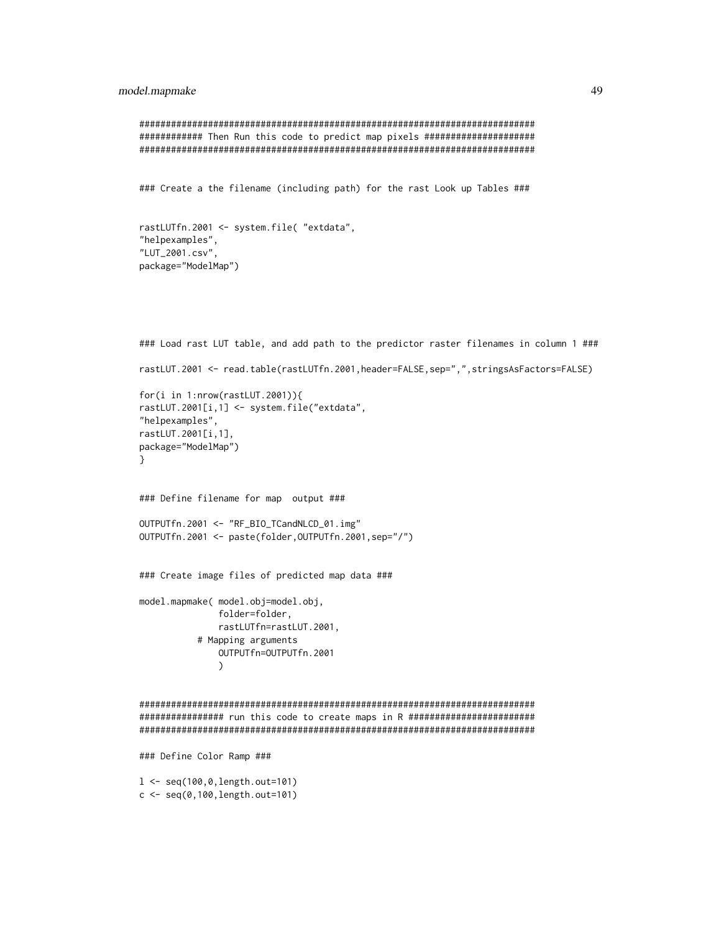# model.mapmake 49

```
###########################################################################
############ Then Run this code to predict map pixels #####################
###########################################################################
### Create a the filename (including path) for the rast Look up Tables ###
rastLUTfn.2001 <- system.file( "extdata",
"helpexamples",
"LUT_2001.csv",
package="ModelMap")
### Load rast LUT table, and add path to the predictor raster filenames in column 1 ###
rastLUT.2001 <- read.table(rastLUTfn.2001,header=FALSE,sep=",",stringsAsFactors=FALSE)
for(i in 1:nrow(rastLUT.2001)){
rastLUT.2001[i,1] <- system.file("extdata",
"helpexamples",
rastLUT.2001[i,1],
package="ModelMap")
}
### Define filename for map output ###
OUTPUTfn.2001 <- "RF_BIO_TCandNLCD_01.img"
OUTPUTfn.2001 <- paste(folder,OUTPUTfn.2001,sep="/")
### Create image files of predicted map data ###
model.mapmake( model.obj=model.obj,
               folder=folder,
               rastLUTfn=rastLUT.2001,
           # Mapping arguments
               OUTPUTfn=OUTPUTfn.2001
               \mathcal{L}###########################################################################
################ run this code to create maps in R ########################
###########################################################################
### Define Color Ramp ###
l <- seq(100,0,length.out=101)
```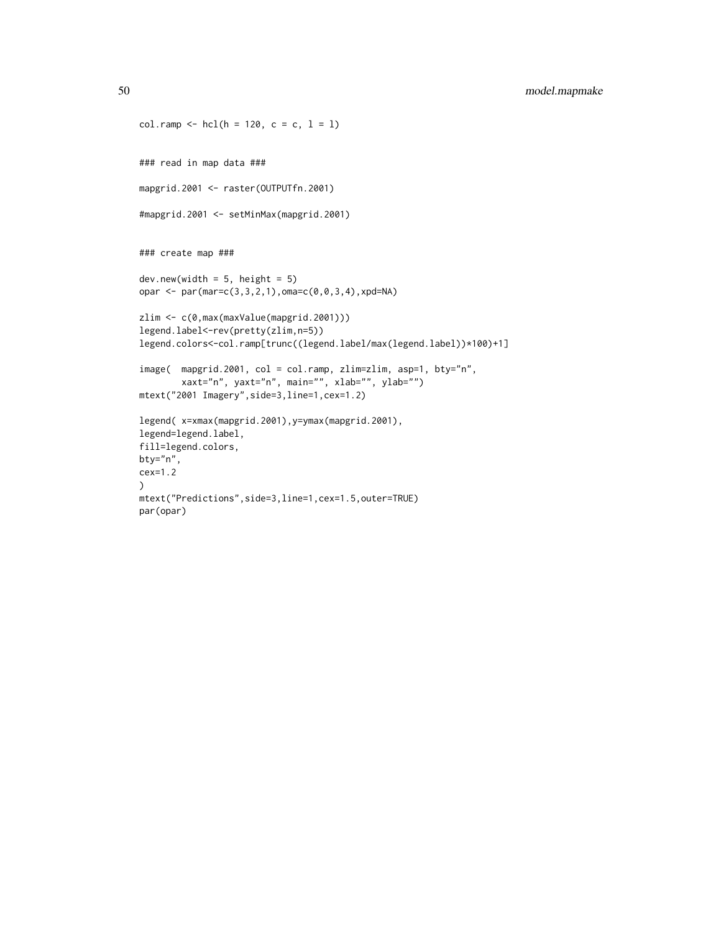```
col.ramp <- hcl(h = 120, c = c, l = l)### read in map data ###
mapgrid.2001 <- raster(OUTPUTfn.2001)
#mapgrid.2001 <- setMinMax(mapgrid.2001)
### create map ###
dev.new(width = 5, height = 5)opar <- par(mar=c(3,3,2,1),oma=c(0,0,3,4),xpd=NA)
zlim <- c(0,max(maxValue(mapgrid.2001)))
legend.label<-rev(pretty(zlim,n=5))
legend.colors<-col.ramp[trunc((legend.label/max(legend.label))*100)+1]
image( mapgrid.2001, col = col.ramp, zlim=zlim, asp=1, bty="n",
        xaxt="n", yaxt="n", main="", xlab="", ylab="")
mtext("2001 Imagery",side=3,line=1,cex=1.2)
legend( x=xmax(mapgrid.2001),y=ymax(mapgrid.2001),
legend=legend.label,
fill=legend.colors,
bty="n",
cex=1.2
\mathcal{L}mtext("Predictions",side=3,line=1,cex=1.5,outer=TRUE)
par(opar)
```